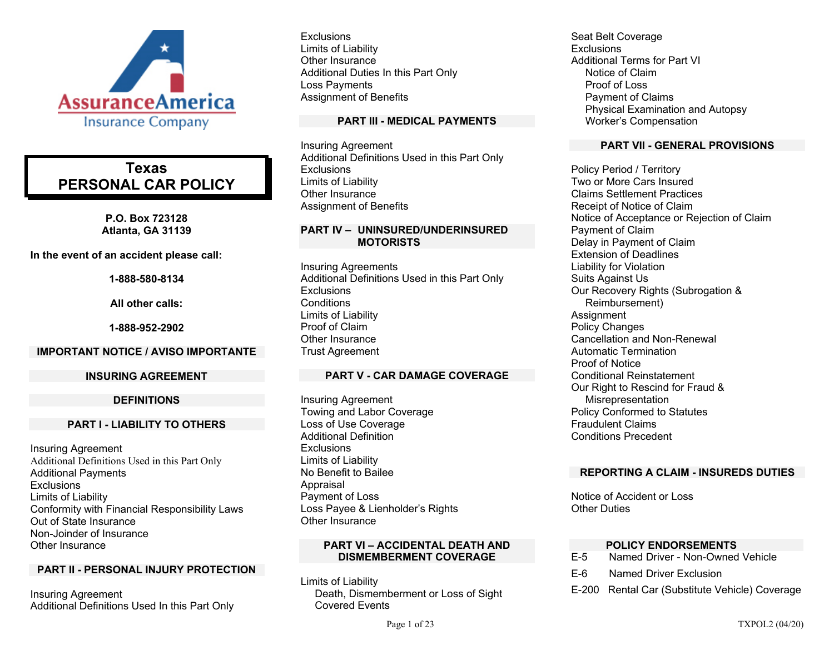

# **Texas PERSONAL CAR POLICY**

**P.O. Box 723128 Atlanta, GA 31139** 

**In the event of an accident please call:** 

**1-888-580-8134** 

**All other calls:** 

**1-888-952-2902** 

#### **IMPORTANT NOTICE / AVISO IMPORTANTE**

#### **INSURING AGREEMENT**

#### **DEFINITIONS**

#### **PART I - LIABILITY TO OTHERS**

Insuring Agreement Additional Definitions Used in this Part Only Additional Payments **Exclusions** Limits of Liability Conformity with Financial Responsibility Laws Out of State Insurance Non-Joinder of Insurance Other Insurance

## **PART II - PERSONAL INJURY PROTECTION**

Insuring Agreement Additional Definitions Used In this Part Only

**Exclusions** Limits of Liability Other Insurance Additional Duties In this Part Only Loss Payments Assignment of Benefits

### **PART III - MEDICAL PAYMENTS**

Insuring Agreement Additional Definitions Used in this Part Only **Exclusions** Limits of Liability Other Insurance Assignment of Benefits

### **PART IV – UNINSURED/UNDERINSURED MOTORISTS**

Insuring Agreements Additional Definitions Used in this Part Only **Exclusions Conditions** Limits of Liability Proof of Claim Other Insurance Trust Agreement

## **PART V - CAR DAMAGE COVERAGE**

Insuring Agreement Towing and Labor Coverage Loss of Use Coverage Additional Definition **Exclusions** Limits of Liability No Benefit to Bailee Appraisal Payment of Loss Loss Payee & Lienholder's Rights Other Insurance

#### **PART VI – ACCIDENTAL DEATH AND DISMEMBERMENT COVERAGE**

Limits of Liability Death, Dismemberment or Loss of Sight Covered Events

Seat Belt Coverage **Exclusions** Additional Terms for Part VI Notice of Claim Proof of Loss Payment of Claims Physical Examination and Autopsy Worker's Compensation

### **PART VII - GENERAL PROVISIONS**

Policy Period / Territory Two or More Cars Insured Claims Settlement Practices Receipt of Notice of Claim Notice of Acceptance or Rejection of Claim Payment of Claim Delay in Payment of Claim Extension of Deadlines Liability for Violation Suits Against Us Our Recovery Rights (Subrogation & Reimbursement) **Assignment** Policy Changes Cancellation and Non-Renewal Automatic Termination Proof of Notice Conditional Reinstatement Our Right to Rescind for Fraud & Misrepresentation Policy Conformed to Statutes Fraudulent Claims Conditions Precedent

## **REPORTING A CLAIM - INSUREDS DUTIES**

Notice of Accident or Loss Other Duties

## **POLICY ENDORSEMENTS**

- E-5 Named Driver Non-Owned Vehicle
- E-6 Named Driver Exclusion
- E-200 Rental Car (Substitute Vehicle) Coverage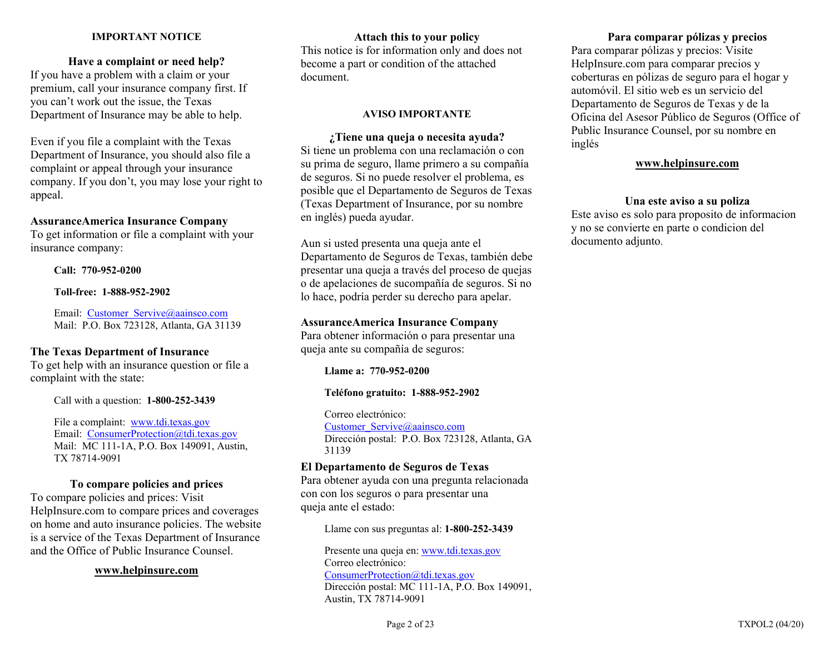### **IMPORTANT NOTICE**

## **Have a complaint or need help?**

If you have a problem with a claim or your premium, call your insurance company first. If you can't work out the issue, the Texas Department of Insurance may be able to help.

Even if you file a complaint with the Texas Department of Insurance, you should also file a complaint or appeal through your insurance company. If you don't, you may lose your right to appeal.

#### **AssuranceAmerica Insurance Company**

To get information or file a complaint with your insurance company:

**Call: 770-952-0200** 

**Toll-free: 1-888-952-2902** 

Email: Customer Servive@aainsco.com Mail: P.O. Box 723128, Atlanta, GA 31139

## **The Texas Department of Insurance**

To get help with an insurance question or file a complaint with the state:

Call with a question: **1-800-252-3439** 

File a complaint: www.tdi.texas.gov Email: ConsumerProtection@tdi.texas.gov Mail: MC 111-1A, P.O. Box 149091, Austin, TX 78714-9091

## **To compare policies and prices**

To compare policies and prices: Visit HelpInsure.com to compare prices and coverages on home and auto insurance policies. The website is a service of the Texas Department of Insurance and the Office of Public Insurance Counsel.

### **www.helpinsure.com**

**Attach this to your policy**  This notice is for information only and does not become a part or condition of the attached document.

### **AVISO IMPORTANTE**

**¿Tiene una queja o necesita ayuda?**  Si tiene un problema con una reclamación o con su prima de seguro, llame primero a su compañía de seguros. Si no puede resolver el problema, es posible que el Departamento de Seguros de Texas (Texas Department of Insurance, por su nombre en inglés) pueda ayudar.

Aun si usted presenta una queja ante el Departamento de Seguros de Texas, también debe presentar una queja a través del proceso de quejas o de apelaciones de sucompañía de seguros. Si no lo hace, podría perder su derecho para apelar.

## **AssuranceAmerica Insurance Company**

Para obtener información o para presentar una queja ante su compañía de seguros:

**Llame a: 770-952-0200** 

## **Teléfono gratuito: 1-888-952-2902**

Correo electrónico: Customer\_Servive@aainsco.com Dirección postal: P.O. Box 723128, Atlanta, GA 31139

## **El Departamento de Seguros de Texas**

Para obtener ayuda con una pregunta relacionada con con los seguros o para presentar una queja ante el estado:

Llame con sus preguntas al: **1-800-252-3439**

Presente una queja en: www.tdi.texas.gov Correo electrónico: ConsumerProtection@tdi.texas.gov Dirección postal: MC 111-1A, P.O. Box 149091, Austin, TX 78714-9091

## **Para comparar pólizas y precios**

Para comparar pólizas y precios: Visite HelpInsure.com para comparar precios y coberturas en pólizas de seguro para el hogar y automóvil. El sitio web es un servicio del Departamento de Seguros de Texas y de la Oficina del Asesor Público de Seguros (Office of Public Insurance Counsel, por su nombre en inglés

## **www.helpinsure.com**

### **Una este aviso a su poliza**

Este aviso es solo para proposito de informacion y no se convierte en parte o condicion del documento adjunto.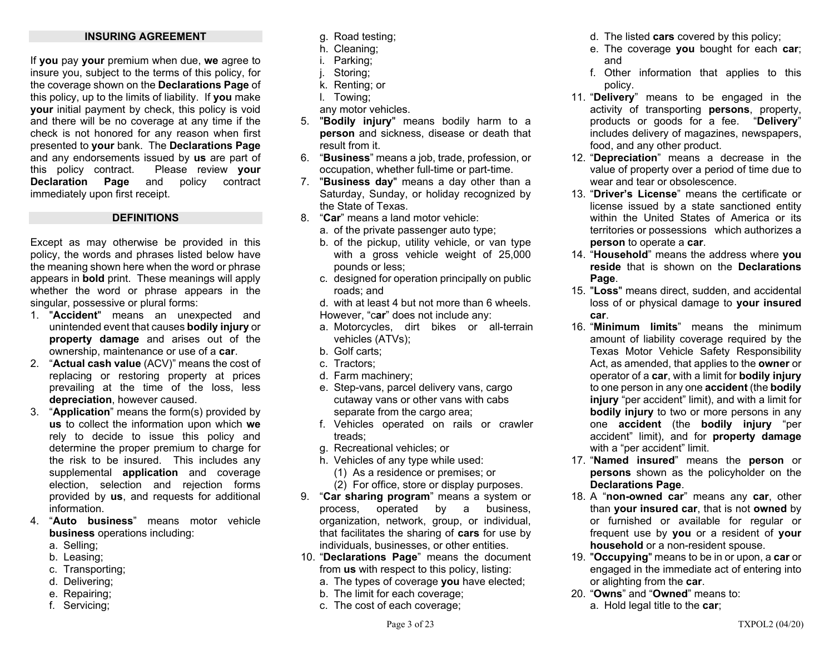### **INSURING AGREEMENT**

If **you** pay **your** premium when due, **we** agree to insure you, subject to the terms of this policy, for the coverage shown on the **Declarations Page** of this policy, up to the limits of liability. If **you** make **your** initial payment by check, this policy is void and there will be no coverage at any time if the check is not honored for any reason when first presented to **your** bank. The **Declarations Page** and any endorsements issued by **us** are part of this policy contract. Please review **your Declaration Page** and policy contract immediately upon first receipt.

#### **DEFINITIONS**

Except as may otherwise be provided in this policy, the words and phrases listed below have the meaning shown here when the word or phrase appears in **bold** print. These meanings will apply whether the word or phrase appears in the singular, possessive or plural forms:

- 1. "**Accident**" means an unexpected and unintended event that causes **bodily injury** or **property damage** and arises out of the ownership, maintenance or use of a **car**.
- 2. "**Actual cash value** (ACV)" means the cost of replacing or restoring property at prices prevailing at the time of the loss, less **depreciation**, however caused.
- 3. "**Application**" means the form(s) provided by **us** to collect the information upon which **we** rely to decide to issue this policy and determine the proper premium to charge for the risk to be insured. This includes any supplemental **application** and coverage election, selection and rejection forms provided by **us**, and requests for additional information.
- 4. "**Auto business**" means motor vehicle **business** operations including:
	- a. Selling;
	- b. Leasing;
	- c. Transporting;
	- d. Delivering;
	- e. Repairing;
	- f. Servicing;
- g. Road testing;
- h. Cleaning;
- i. Parking;
- j. Storing;
- k. Renting; or
- l. Towing;
- any motor vehicles.
- 5. "**Bodily injury**" means bodily harm to a **person** and sickness, disease or death that result from it.
- 6. "**Business**" means a job, trade, profession, or occupation, whether full-time or part-time.
- 7. "**Business day**" means a day other than a Saturday, Sunday, or holiday recognized by the State of Texas.
- 8. "**Car**" means a land motor vehicle:
	- a. of the private passenger auto type;
	- b. of the pickup, utility vehicle, or van type with a gross vehicle weight of 25,000 pounds or less;
	- c. designed for operation principally on public roads; and
	- d. with at least 4 but not more than 6 wheels. However, "c**ar**" does not include any:
	- a. Motorcycles, dirt bikes or all-terrain vehicles (ATVs);
	- b. Golf carts;
	- c. Tractors;
	- d. Farm machinery;
	- e. Step-vans, parcel delivery vans, cargo cutaway vans or other vans with cabs separate from the cargo area;
	- f. Vehicles operated on rails or crawler treads;
	- g. Recreational vehicles; or
	- h. Vehicles of any type while used:
		- (1) As a residence or premises; or
		- (2) For office, store or display purposes.
- 9. "**Car sharing program**" means a system or process, operated by a business, organization, network, group, or individual, that facilitates the sharing of **cars** for use by individuals, businesses, or other entities.
- 10. "**Declarations Page**" means the document from **us** with respect to this policy, listing:
	- a. The types of coverage **you** have elected;
	- b. The limit for each coverage;
	- c. The cost of each coverage;
- d. The listed **cars** covered by this policy;
- e. The coverage **you** bought for each **car**; and
- f. Other information that applies to this policy.
- 11. "**Delivery**" means to be engaged in the activity of transporting **persons**, property, products or goods for a fee. "**Delivery**" includes delivery of magazines, newspapers, food, and any other product.
- 12. "**Depreciation**" means a decrease in the value of property over a period of time due to wear and tear or obsolescence.
- 13. "**Driver's License**" means the certificate or license issued by a state sanctioned entity within the United States of America or its territories or possessions which authorizes a **person** to operate a **car**.
- 14. "**Household**" means the address where **you reside** that is shown on the **Declarations Page**.
- 15. "**Loss**" means direct, sudden, and accidental loss of or physical damage to **your insured car**.
- 16. "**Minimum limits**" means the minimum amount of liability coverage required by the Texas Motor Vehicle Safety Responsibility Act, as amended, that applies to the **owner** or operator of a **car**, with a limit for **bodily injury** to one person in any one **accident** (the **bodily injury** "per accident" limit), and with a limit for **bodily injury** to two or more persons in any one **accident** (the **bodily injury** "per accident" limit), and for **property damage** with a "per accident" limit.
- 17. "**Named insured**" means the **person** or **persons** shown as the policyholder on the **Declarations Page**.
- 18. A "**non-owned car**" means any **car**, other than **your insured car**, that is not **owned** by or furnished or available for regular or frequent use by **you** or a resident of **your household** or a non-resident spouse.
- 19. "**Occupying**" means to be in or upon, a **car** or engaged in the immediate act of entering into or alighting from the **car**.
- 20. "**Owns**" and "**Owned**" means to: a. Hold legal title to the **car**;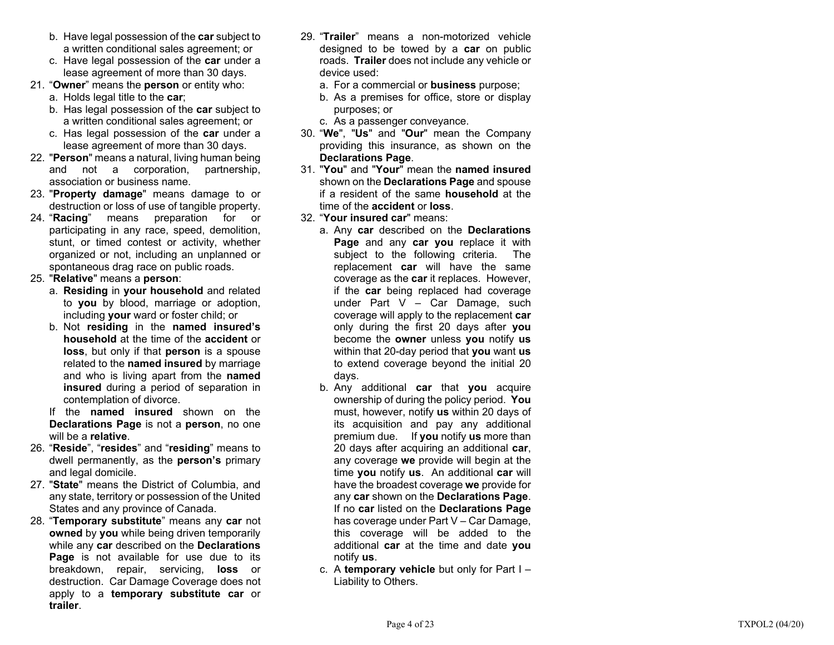- b. Have legal possession of the **car** subject to a written conditional sales agreement; or
- c. Have legal possession of the **car** under a lease agreement of more than 30 days.
- 21. "**Owner**" means the **person** or entity who:
	- a. Holds legal title to the **car**;
	- b. Has legal possession of the **car** subject to a written conditional sales agreement; or
	- c. Has legal possession of the **car** under a lease agreement of more than 30 days.
- 22. "**Person**" means a natural, living human being and not a corporation, partnership, association or business name.
- 23. "**Property damage**" means damage to or destruction or loss of use of tangible property.
- 24. "**Racing**" means preparation for or participating in any race, speed, demolition, stunt, or timed contest or activity, whether organized or not, including an unplanned or spontaneous drag race on public roads.

25. "**Relative**" means a **person**:

- a. **Residing** in **your household** and related to **you** by blood, marriage or adoption, including **your** ward or foster child; or
- b. Not **residing** in the **named insured's household** at the time of the **accident** or **loss**, but only if that **person** is a spouse related to the **named insured** by marriage and who is living apart from the **named insured** during a period of separation in contemplation of divorce.
- If the **named insured** shown on the **Declarations Page** is not a **person**, no one will be a **relative**.
- 26. "**Reside**", "**resides**" and "**residing**" means to dwell permanently, as the **person's** primary and legal domicile.
- 27. "**State**" means the District of Columbia, and any state, territory or possession of the United States and any province of Canada.
- 28. "**Temporary substitute**" means any **car** not **owned** by **you** while being driven temporarily while any **car** described on the **Declarations Page** is not available for use due to its breakdown, repair, servicing, **loss** or destruction. Car Damage Coverage does not apply to a **temporary substitute car** or **trailer**.
- 29. "**Trailer**" means a non-motorized vehicle designed to be towed by a **car** on public roads. **Trailer** does not include any vehicle or device used:
	- a. For a commercial or **business** purpose;
	- b. As a premises for office, store or display purposes; or
	- c. As a passenger conveyance.
- 30. "**We**", "**Us**" and "**Our**" mean the Company providing this insurance, as shown on the **Declarations Page**.
- 31. "**You**" and "**Your**" mean the **named insured**shown on the **Declarations Page** and spouse if a resident of the same **household** at the time of the **accident** or **loss**.
- 32. "**Your insured car**" means:
	- a. Any **car** described on the **Declarations Page** and any **car you** replace it with subject to the following criteria. The replacement **car** will have the same coverage as the **car** it replaces. However, if the **car** being replaced had coverage under Part V – Car Damage, such coverage will apply to the replacement **car** only during the first 20 days after **you** become the **owner** unless **you** notify **us** within that 20-day period that **you** want **us** to extend coverage beyond the initial 20 days.
	- b. Any additional **car** that **you** acquire ownership of during the policy period. **You** must, however, notify **us** within 20 days of its acquisition and pay any additional premium due. If **you** notify **us** more than 20 days after acquiring an additional **car**, any coverage **we** provide will begin at the time **you** notify **us**. An additional **car** will have the broadest coverage **we** provide for any **car** shown on the **Declarations Page**. If no **car** listed on the **Declarations Page** has coverage under Part V – Car Damage, this coverage will be added to the additional **car** at the time and date **you** notify **us**.
	- c. A **temporary vehicle** but only for Part I Liability to Others.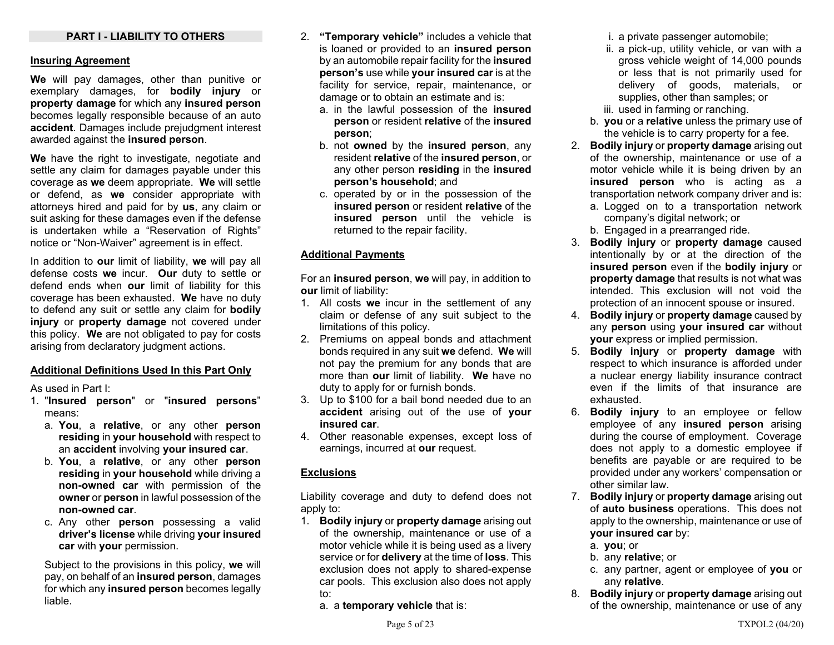### **PART I - LIABILITY TO OTHERS**

#### **Insuring Agreement**

**We** will pay damages, other than punitive or exemplary damages, for **bodily injury** or **property damage** for which any **insured person** becomes legally responsible because of an auto **accident**. Damages include prejudgment interest awarded against the **insured person**.

**We** have the right to investigate, negotiate and settle any claim for damages payable under this coverage as **we** deem appropriate. **We** will settle or defend, as **we** consider appropriate with attorneys hired and paid for by **us**, any claim or suit asking for these damages even if the defense is undertaken while a "Reservation of Rights" notice or "Non-Waiver" agreement is in effect.

In addition to **our** limit of liability, **we** will pay all defense costs **we** incur. **Our** duty to settle or defend ends when **our** limit of liability for this coverage has been exhausted. **We** have no duty to defend any suit or settle any claim for **bodily injury** or **property damage** not covered under this policy. **We** are not obligated to pay for costs arising from declaratory judgment actions.

#### **Additional Definitions Used In this Part Only**

As used in Part I:

- 1. "**Insured person**" or "**insured persons**" means:
	- a. **You**, a **relative**, or any other **person residing** in **your household** with respect to an **accident** involving **your insured car**.
	- b. **You**, a **relative**, or any other **person residing** in **your household** while driving a **non-owned car** with permission of the **owner** or **person** in lawful possession of the **non-owned car**.
	- c. Any other **person** possessing a valid **driver's license** while driving **your insured car** with **your** permission.

Subject to the provisions in this policy, **we** will pay, on behalf of an **insured person**, damages for which any **insured person** becomes legally liable.

- 2. **"Temporary vehicle"** includes a vehicle that is loaned or provided to an **insured person** by an automobile repair facility for the **insured person's** use while **your insured car** is at the facility for service, repair, maintenance, or damage or to obtain an estimate and is:
	- a. in the lawful possession of the **insured person** or resident **relative** of the **insured person**;
	- b. not **owned** by the **insured person**, any resident **relative** of the **insured person**, or any other person **residing** in the **insured person's household**; and
	- c. operated by or in the possession of the **insured person** or resident **relative** of the **insured person** until the vehicle is returned to the repair facility.

#### **Additional Payments**

For an **insured person**, **we** will pay, in addition to **our** limit of liability:

- 1. All costs **we** incur in the settlement of any claim or defense of any suit subject to the limitations of this policy.
- 2. Premiums on appeal bonds and attachment bonds required in any suit **we** defend. **We** will not pay the premium for any bonds that are more than **our** limit of liability. **We** have no duty to apply for or furnish bonds.
- 3. Up to \$100 for a bail bond needed due to an **accident** arising out of the use of **your insured car**.
- 4. Other reasonable expenses, except loss of earnings, incurred at **our** request.

#### **Exclusions**

Liability coverage and duty to defend does not apply to:

- 1. **Bodily injury** or **property damage** arising out of the ownership, maintenance or use of a motor vehicle while it is being used as a livery service or for **delivery** at the time of **loss**. This exclusion does not apply to shared-expense car pools. This exclusion also does not apply to:
	- a. a **temporary vehicle** that is:

i. a private passenger automobile;

- ii. a pick-up, utility vehicle, or van with a gross vehicle weight of 14,000 pounds or less that is not primarily used for delivery of goods, materials, or supplies, other than samples; or
- iii. used in farming or ranching.
- b. **you** or a **relative** unless the primary use of the vehicle is to carry property for a fee.
- 2. **Bodily injury** or **property damage** arising out of the ownership, maintenance or use of a motor vehicle while it is being driven by an **insured person** who is acting as a transportation network company driver and is:
	- a. Logged on to a transportation network company's digital network; or
	- b. Engaged in a prearranged ride.
- 3. **Bodily injury** or **property damage** caused intentionally by or at the direction of the **insured person** even if the **bodily injury** or **property damage** that results is not what was intended. This exclusion will not void the protection of an innocent spouse or insured.
- 4. **Bodily injury** or **property damage** caused by any **person** using **your insured car** without **your** express or implied permission.
- 5. **Bodily injury** or **property damage** with respect to which insurance is afforded under a nuclear energy liability insurance contract even if the limits of that insurance are exhausted.
- 6. **Bodily injury** to an employee or fellow employee of any **insured person** arising during the course of employment. Coverage does not apply to a domestic employee if benefits are payable or are required to be provided under any workers' compensation or other similar law.
- 7. **Bodily injury** or **property damage** arising out of **auto business** operations. This does not apply to the ownership, maintenance or use of **your insured car** by:
	- a. **you**; or
	- b. any **relative**; or
	- c. any partner, agent or employee of **you** or any **relative**.
- 8. **Bodily injury** or **property damage** arising out of the ownership, maintenance or use of any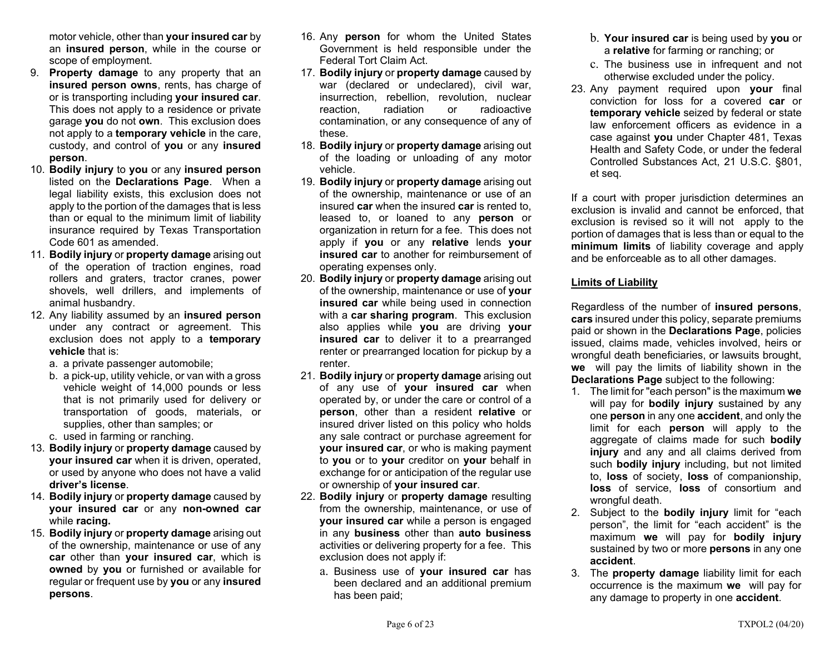motor vehicle, other than **your insured car** by an **insured person**, while in the course or scope of employment.

- 9. **Property damage** to any property that an **insured person owns**, rents, has charge of or is transporting including **your insured car**. This does not apply to a residence or private garage **you** do not **own**. This exclusion does not apply to a **temporary vehicle** in the care, custody, and control of **you** or any **insured person**.
- 10. **Bodily injury** to **you** or any **insured person** listed on the **Declarations Page**. When a legal liability exists, this exclusion does not apply to the portion of the damages that is less than or equal to the minimum limit of liability insurance required by Texas Transportation Code 601 as amended.
- 11. **Bodily injury** or **property damage** arising out of the operation of traction engines, road rollers and graters, tractor cranes, power shovels, well drillers, and implements of animal husbandry.
- 12. Any liability assumed by an **insured person** under any contract or agreement. This exclusion does not apply to a **temporary vehicle** that is:
	- a. a private passenger automobile;
	- b. a pick-up, utility vehicle, or van with a gross vehicle weight of 14,000 pounds or less that is not primarily used for delivery or transportation of goods, materials, or supplies, other than samples; or
	- c. used in farming or ranching.
- 13. **Bodily injury** or **property damage** caused by **your insured car** when it is driven, operated, or used by anyone who does not have a valid **driver's license**.
- 14. **Bodily injury** or **property damage** caused by **your insured car** or any **non-owned car** while **racing.**
- 15. **Bodily injury** or **property damage** arising out of the ownership, maintenance or use of any **car** other than **your insured car**, which is **owned** by **you** or furnished or available for regular or frequent use by **you** or any **insured persons**.
- 16. Any **person** for whom the United States Government is held responsible under the Federal Tort Claim Act.
- 17. **Bodily injury** or **property damage** caused by war (declared or undeclared), civil war, insurrection, rebellion, revolution, nuclear reaction, radiation or radioactive contamination, or any consequence of any of these.
- 18. **Bodily injury** or **property damage** arising out of the loading or unloading of any motor vehicle.
- 19. **Bodily injury** or **property damage** arising out of the ownership, maintenance or use of an insured **car** when the insured **car** is rented to, leased to, or loaned to any **person** or organization in return for a fee. This does not apply if **you** or any **relative** lends **your insured car** to another for reimbursement of operating expenses only.
- 20. **Bodily injury** or **property damage** arising out of the ownership, maintenance or use of **your insured car** while being used in connection with a **car sharing program**. This exclusion also applies while **you** are driving **your insured car** to deliver it to a prearranged renter or prearranged location for pickup by a renter.
- 21. **Bodily injury** or **property damage** arising out of any use of **your insured car** when operated by, or under the care or control of a **person**, other than a resident **relative** or insured driver listed on this policy who holds any sale contract or purchase agreement for **your insured car**, or who is making payment to **you** or to **your** creditor on **your** behalf in exchange for or anticipation of the regular use or ownership of **your insured car**.
- 22. **Bodily injury** or **property damage** resulting from the ownership, maintenance, or use of **your insured car** while a person is engaged in any **business** other than **auto business** activities or delivering property for a fee. This exclusion does not apply if:
	- a. Business use of **your insured car** has been declared and an additional premium has been paid;
- b. **Your insured car** is being used by **you** or <sup>a</sup>**relative** for farming or ranching; or
- c. The business use in infrequent and not otherwise excluded under the policy.
- 23. Any payment required upon **your** final conviction for loss for a covered **car** or **temporary vehicle** seized by federal or state law enforcement officers as evidence in a case against **you** under Chapter 481, Texas Health and Safety Code, or under the federal Controlled Substances Act, 21 U.S.C. §801, et seq.

If a court with proper jurisdiction determines an exclusion is invalid and cannot be enforced, that exclusion is revised so it will not apply to the portion of damages that is less than or equal to the **minimum limits** of liability coverage and apply and be enforceable as to all other damages.

## **Limits of Liability**

Regardless of the number of **insured persons**, **cars** insured under this policy, separate premiums paid or shown in the **Declarations Page**, policies issued, claims made, vehicles involved, heirs or wrongful death beneficiaries, or lawsuits brought, **we** will pay the limits of liability shown in the **Declarations Page** subject to the following:

- 1. The limit for "each person" is the maximum **we** will pay for **bodily injury** sustained by any one **person** in any one **accident**, and only the limit for each **person** will apply to the aggregate of claims made for such **bodily injury** and any and all claims derived from such **bodily injury** including, but not limited to, **loss** of society, **loss** of companionship, **loss** of service, **loss** of consortium and wrongful death.
- 2. Subject to the **bodily injury** limit for "each person", the limit for "each accident" is the maximum **we** will pay for **bodily injury** sustained by two or more **persons** in any one **accident**.
- 3. The **property damage** liability limit for each occurrence is the maximum **we** will pay for any damage to property in one **accident**.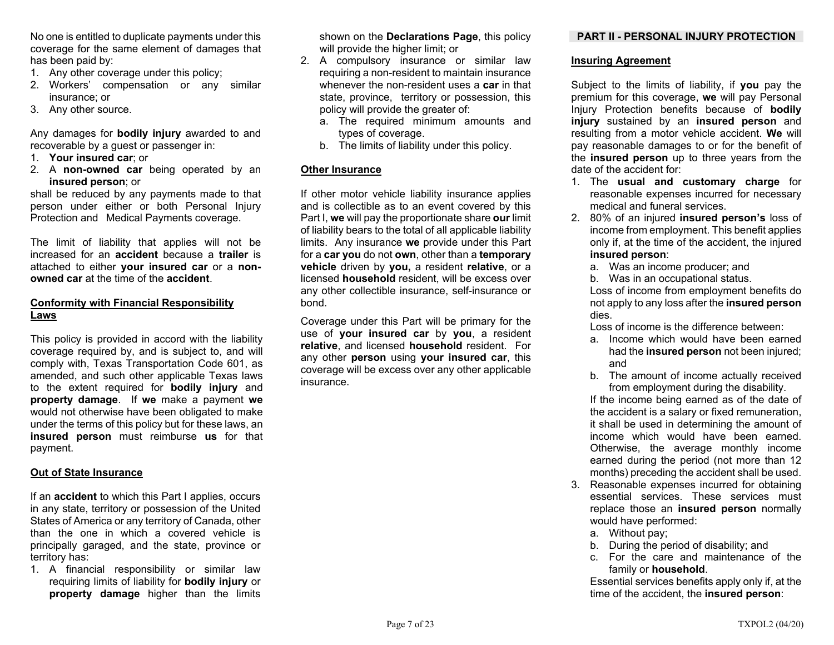No one is entitled to duplicate payments under this coverage for the same element of damages that has been paid by:

- 1. Any other coverage under this policy;
- 2. Workers' compensation or any similar insurance; or
- 3. Any other source.

Any damages for **bodily injury** awarded to and recoverable by a guest or passenger in:

- 1. **Your insured car**; or
- 2. A **non-owned car** being operated by an **insured person**; or

shall be reduced by any payments made to that person under either or both Personal Injury Protection and Medical Payments coverage.

The limit of liability that applies will not be increased for an **accident** because a **trailer** is attached to either **your insured car** or a **nonowned car** at the time of the **accident**.

## **Conformity with Financial Responsibility Laws**

This policy is provided in accord with the liability coverage required by, and is subject to, and will comply with, Texas Transportation Code 601, as amended, and such other applicable Texas laws to the extent required for **bodily injury** and **property damage**. If **we** make a payment **we** would not otherwise have been obligated to make under the terms of this policy but for these laws, an **insured person** must reimburse **us** for that payment.

## **Out of State Insurance**

If an **accident** to which this Part I applies, occurs in any state, territory or possession of the United States of America or any territory of Canada, other than the one in which a covered vehicle is principally garaged, and the state, province or territory has:

1. A financial responsibility or similar law requiring limits of liability for **bodily injury** or **property damage** higher than the limits

shown on the **Declarations Page**, this policy will provide the higher limit; or

- 2. A compulsory insurance or similar law requiring a non-resident to maintain insurance whenever the non-resident uses a **car** in that state, province, territory or possession, this policy will provide the greater of:
	- a. The required minimum amounts and types of coverage.
	- b. The limits of liability under this policy.

## **Other Insurance**

If other motor vehicle liability insurance applies and is collectible as to an event covered by this Part I, **we** will pay the proportionate share **our** limit of liability bears to the total of all applicable liability limits. Any insurance **we** provide under this Part for a **car you** do not **own**, other than a **temporary vehicle** driven by **you,** a resident **relative**, or a licensed **household** resident, will be excess over any other collectible insurance, self-insurance or bond.

Coverage under this Part will be primary for the use of **your insured car** by **you**, a resident **relative**, and licensed **household** resident. For any other **person** using **your insured car**, this coverage will be excess over any other applicable insurance.

## **PART II - PERSONAL INJURY PROTECTION**

## **Insuring Agreement**

Subject to the limits of liability, if **you** pay the premium for this coverage, **we** will pay Personal Injury Protection benefits because of **bodily injury** sustained by an **insured person** and resulting from a motor vehicle accident. **We** will pay reasonable damages to or for the benefit of the **insured person** up to three years from the date of the accident for:

- 1. The **usual and customary charge** for reasonable expenses incurred for necessary medical and funeral services.
- 2. 80% of an injured **insured person's** loss of income from employment. This benefit applies only if, at the time of the accident, the injured **insured person**:
	- a. Was an income producer; and
	- b. Was in an occupational status.

 Loss of income from employment benefits do not apply to any loss after the **insured person** dies.

Loss of income is the difference between:

- a. Income which would have been earned had the **insured person** not been injured; and
- b. The amount of income actually received from employment during the disability.

If the income being earned as of the date of the accident is a salary or fixed remuneration, it shall be used in determining the amount of income which would have been earned. Otherwise, the average monthly income earned during the period (not more than 12 months) preceding the accident shall be used.

- 3. Reasonable expenses incurred for obtaining essential services. These services must replace those an **insured person** normally would have performed:
	- a. Without pay;
	- b. During the period of disability; and
	- c. For the care and maintenance of the family or **household**.

Essential services benefits apply only if, at the time of the accident, the **insured person**: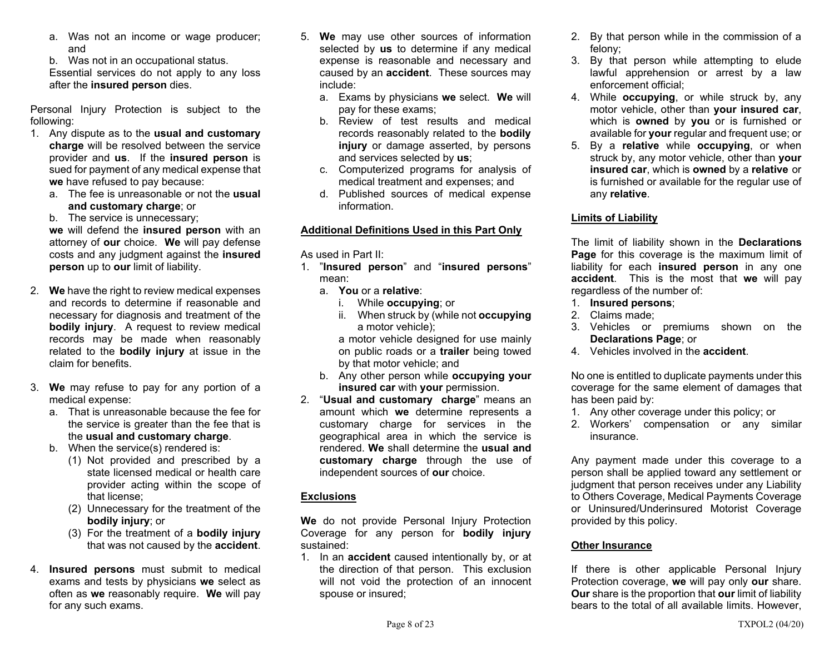a. Was not an income or wage producer; and

b. Was not in an occupational status. Essential services do not apply to any loss after the **insured person** dies.

Personal Injury Protection is subject to the following:

- 1. Any dispute as to the **usual and customary charge** will be resolved between the service provider and **us**. If the **insured person** is sued for payment of any medical expense that **we** have refused to pay because:
	- a. The fee is unreasonable or not the **usual and customary charge**; or

b. The service is unnecessary;

**we** will defend the **insured person** with an attorney of **our** choice. **We** will pay defense costs and any judgment against the **insured person** up to **our** limit of liability.

- 2. **We** have the right to review medical expenses and records to determine if reasonable and necessary for diagnosis and treatment of the **bodily injury**. A request to review medical records may be made when reasonably related to the **bodily injury** at issue in the claim for benefits.
- 3. **We** may refuse to pay for any portion of a medical expense:
	- a. That is unreasonable because the fee for the service is greater than the fee that is the **usual and customary charge**.
	- b. When the service(s) rendered is:
		- (1) Not provided and prescribed by a state licensed medical or health care provider acting within the scope of that license;
		- (2) Unnecessary for the treatment of the **bodily injury**; or
		- (3) For the treatment of a **bodily injury** that was not caused by the **accident**.
- 4. **Insured persons** must submit to medical exams and tests by physicians **we** select as often as **we** reasonably require. **We** will pay for any such exams.
- 5. **We** may use other sources of information selected by **us** to determine if any medical expense is reasonable and necessary and caused by an **accident**. These sources may include:
	- a. Exams by physicians **we** select. **We** will pay for these exams;
	- b. Review of test results and medical records reasonably related to the **bodily injury** or damage asserted, by persons and services selected by **us**;
	- c. Computerized programs for analysis of medical treatment and expenses; and
	- d. Published sources of medical expense information.

## **Additional Definitions Used in this Part Only**

As used in Part II:

- 1. "**Insured person**" and "**insured persons**" mean:
	- a. **You** or a **relative**:
		- i. While **occupying**; or
		- ii. When struck by (while not **occupying**  a motor vehicle);

 a motor vehicle designed for use mainly on public roads or a **trailer** being towed by that motor vehicle; and

- b. Any other person while **occupying your insured car** with **your** permission.
- 2. "**Usual and customary charge**" means an amount which **we** determine represents a customary charge for services in the geographical area in which the service is rendered. **We** shall determine the **usual and customary charge** through the use of independent sources of **our** choice.

## **Exclusions**

**We** do not provide Personal Injury Protection Coverage for any person for **bodily injury** sustained:

1. In an **accident** caused intentionally by, or at the direction of that person. This exclusion will not void the protection of an innocent spouse or insured;

- 2. By that person while in the commission of a felony;
- 3. By that person while attempting to elude lawful apprehension or arrest by a law enforcement official;
- 4. While **occupying**, or while struck by, any motor vehicle, other than **your insured car**, which is **owned** by **you** or is furnished or available for **your** regular and frequent use; or
- 5. By a **relative** while **occupying**, or when struck by, any motor vehicle, other than **your insured car**, which is **owned** by a **relative** or is furnished or available for the regular use of any **relative**.

## **Limits of Liability**

The limit of liability shown in the **Declarations Page** for this coverage is the maximum limit of liability for each **insured person** in any one **accident**. This is the most that **we** will pay regardless of the number of:

- 1. **Insured persons**;
- 2. Claims made;
- 3. Vehicles or premiums shown on the **Declarations Page**; or
- 4. Vehicles involved in the **accident**.

No one is entitled to duplicate payments under this coverage for the same element of damages that has been paid by:

- 1. Any other coverage under this policy; or
- 2. Workers' compensation or any similar insurance.

Any payment made under this coverage to a person shall be applied toward any settlement or judgment that person receives under any Liability to Others Coverage, Medical Payments Coverage or Uninsured/Underinsured Motorist Coverage provided by this policy.

## **Other Insurance**

If there is other applicable Personal Injury Protection coverage, **we** will pay only **our** share. **Our** share is the proportion that **our** limit of liability bears to the total of all available limits. However,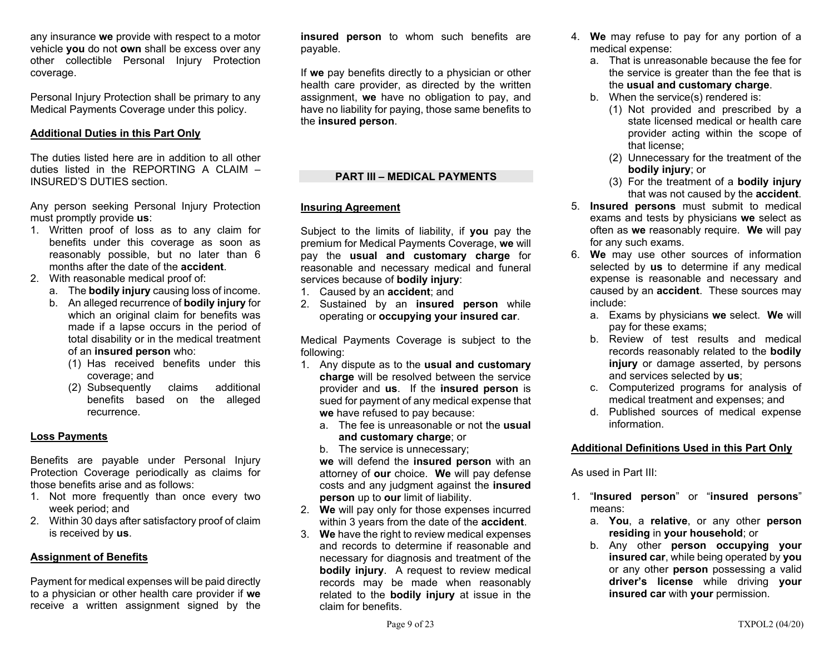any insurance **we** provide with respect to a motor vehicle **you** do not **own** shall be excess over any other collectible Personal Injury Protection coverage.

Personal Injury Protection shall be primary to any Medical Payments Coverage under this policy.

## **Additional Duties in this Part Only**

The duties listed here are in addition to all other duties listed in the REPORTING A CLAIM – INSURED'S DUTIES section.

Any person seeking Personal Injury Protection must promptly provide **us**:

- 1. Written proof of loss as to any claim for benefits under this coverage as soon as reasonably possible, but no later than 6 months after the date of the **accident**.
- 2. With reasonable medical proof of:
	- a. The **bodily injury** causing loss of income.
	- b. An alleged recurrence of **bodily injury** for which an original claim for benefits was made if a lapse occurs in the period of total disability or in the medical treatment of an **insured person** who:
		- (1) Has received benefits under this coverage; and
		- (2) Subsequently claims additional benefits based on the alleged recurrence.

#### **Loss Payments**

Benefits are payable under Personal Injury Protection Coverage periodically as claims for those benefits arise and as follows:

- 1. Not more frequently than once every two week period; and
- 2. Within 30 days after satisfactory proof of claim is received by **us**.

#### **Assignment of Benefits**

Payment for medical expenses will be paid directly to a physician or other health care provider if **we** receive a written assignment signed by the **insured person** to whom such benefits are payable.

If **we** pay benefits directly to a physician or other health care provider, as directed by the written assignment, **we** have no obligation to pay, and have no liability for paying, those same benefits to the **insured person**.

## **PART III – MEDICAL PAYMENTS**

#### **Insuring Agreement**

Subject to the limits of liability, if **you** pay the premium for Medical Payments Coverage, **we** will pay the **usual and customary charge** for reasonable and necessary medical and funeral services because of **bodily injury**:

- 1. Caused by an **accident**; and
- 2. Sustained by an **insured person** while operating or **occupying your insured car**.

Medical Payments Coverage is subject to the following:

- 1. Any dispute as to the **usual and customary charge** will be resolved between the service provider and **us**. If the **insured person** is sued for payment of any medical expense that **we** have refused to pay because:
	- a. The fee is unreasonable or not the **usual and customary charge**; or

b. The service is unnecessary;

**we** will defend the **insured person** with an attorney of **our** choice. **We** will pay defense costs and any judgment against the **insured person** up to **our** limit of liability.

- 2. **We** will pay only for those expenses incurred within 3 years from the date of the **accident**.
- 3. **We** have the right to review medical expenses and records to determine if reasonable and necessary for diagnosis and treatment of the **bodily injury**. A request to review medical records may be made when reasonably related to the **bodily injury** at issue in the claim for benefits.
- 4. **We** may refuse to pay for any portion of a medical expense:
	- a. That is unreasonable because the fee for the service is greater than the fee that is the **usual and customary charge**.
	- b. When the service(s) rendered is:
		- (1) Not provided and prescribed by a state licensed medical or health care provider acting within the scope of that license;
		- (2) Unnecessary for the treatment of the **bodily injury**; or
		- (3) For the treatment of a **bodily injury** that was not caused by the **accident**.
- 5. **Insured persons** must submit to medical exams and tests by physicians **we** select as often as **we** reasonably require. **We** will pay for any such exams.
- 6. **We** may use other sources of information selected by **us** to determine if any medical expense is reasonable and necessary and caused by an **accident**. These sources may include:
	- a. Exams by physicians **we** select. **We** will pay for these exams;
	- b. Review of test results and medical records reasonably related to the **bodily injury** or damage asserted, by persons and services selected by **us**;
	- c. Computerized programs for analysis of medical treatment and expenses; and
	- d. Published sources of medical expense information.

### **Additional Definitions Used in this Part Only**

As used in Part III:

- 1. "**Insured person**" or "**insured persons**" means:
	- a. **You**, a **relative**, or any other **person residing** in **your household**; or
	- b. Any other **person occupying your insured car**, while being operated by **you** or any other **person** possessing a valid **driver's license** while driving **your insured car** with **your** permission.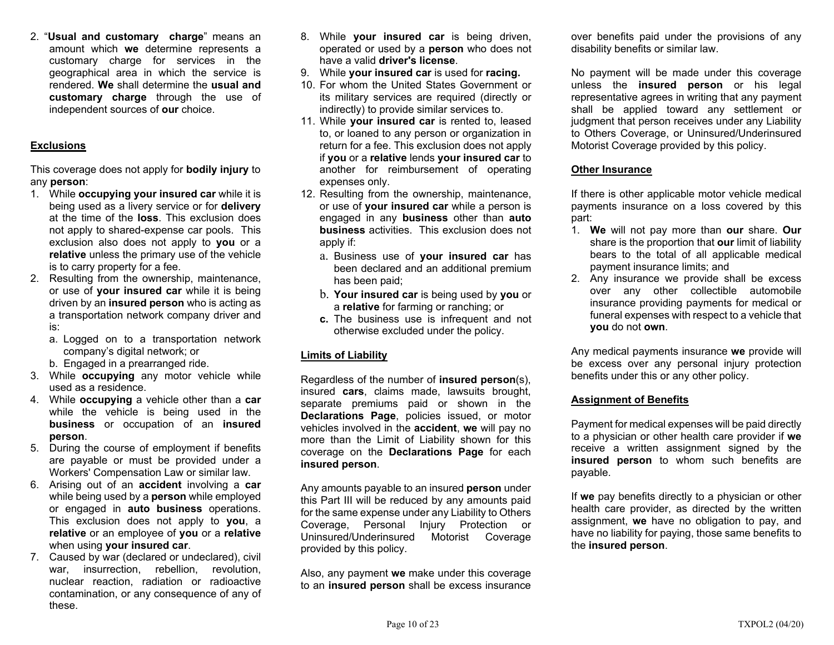2. "**Usual and customary charge**" means an amount which **we** determine represents a customary charge for services in the geographical area in which the service is rendered. **We** shall determine the **usual and customary charge** through the use of independent sources of **our** choice.

## **Exclusions**

This coverage does not apply for **bodily injury** to any **person**:

- 1. While **occupying your insured car** while it is being used as a livery service or for **delivery** at the time of the **loss**. This exclusion does not apply to shared-expense car pools. This exclusion also does not apply to **you** or a **relative** unless the primary use of the vehicle is to carry property for a fee.
- 2. Resulting from the ownership, maintenance, or use of **your insured car** while it is being driven by an **insured person** who is acting as a transportation network company driver and is:
	- a. Logged on to a transportation network company's digital network; or
	- b. Engaged in a prearranged ride.
- 3. While **occupying** any motor vehicle while used as a residence.
- 4. While **occupying** a vehicle other than a **car** while the vehicle is being used in the **business** or occupation of an **insured person**.
- 5. During the course of employment if benefits are payable or must be provided under a Workers' Compensation Law or similar law.
- 6. Arising out of an **accident** involving a **car** while being used by a **person** while employed or engaged in **auto business** operations. This exclusion does not apply to **you**, <sup>a</sup> **relative** or an employee of **you** or a **relative** when using **your insured car**.
- 7. Caused by war (declared or undeclared), civil war, insurrection, rebellion, revolution, nuclear reaction, radiation or radioactive contamination, or any consequence of any of these.
- 8. While **your insured car** is being driven, operated or used by a **person** who does not have a valid **driver's license**.
- 9. While **your insured car** is used for **racing.**
- 10. For whom the United States Government or its military services are required (directly or indirectly) to provide similar services to.
- 11. While **your insured car** is rented to, leased to, or loaned to any person or organization in return for a fee. This exclusion does not apply if **you** or a **relative** lends **your insured car** to another for reimbursement of operating expenses only.
- 12. Resulting from the ownership, maintenance, or use of **your insured car** while a person is engaged in any **business** other than **auto business** activities. This exclusion does not apply if:
	- a. Business use of **your insured car** has been declared and an additional premium has been paid;
	- b. **Your insured car** is being used by **you** or <sup>a</sup>**relative** for farming or ranching; or
	- **c.** The business use is infrequent and not otherwise excluded under the policy.

## **Limits of Liability**

Regardless of the number of **insured person**(s), insured **cars**, claims made, lawsuits brought, separate premiums paid or shown in the **Declarations Page**, policies issued, or motor vehicles involved in the **accident**, **we** will pay no more than the Limit of Liability shown for this coverage on the **Declarations Page** for each **insured person**.

Any amounts payable to an insured **person** under this Part III will be reduced by any amounts paid for the same expense under any Liability to Others Coverage, Personal Injury Protection or Uninsured/Underinsured Motorist Coverage provided by this policy.

Also, any payment **we** make under this coverage to an **insured person** shall be excess insurance over benefits paid under the provisions of any disability benefits or similar law.

No payment will be made under this coverage unless the **insured person** or his legal representative agrees in writing that any payment shall be applied toward any settlement or judgment that person receives under any Liability to Others Coverage, or Uninsured/Underinsured Motorist Coverage provided by this policy.

## **Other Insurance**

If there is other applicable motor vehicle medical payments insurance on a loss covered by this part:

- 1. **We** will not pay more than **our** share. **Our** share is the proportion that **our** limit of liability bears to the total of all applicable medical payment insurance limits; and
- 2. Any insurance we provide shall be excess over any other collectible automobile insurance providing payments for medical or funeral expenses with respect to a vehicle that **you** do not **own**.

Any medical payments insurance **we** provide will be excess over any personal injury protection benefits under this or any other policy.

## **Assignment of Benefits**

Payment for medical expenses will be paid directly to a physician or other health care provider if **we** receive a written assignment signed by the **insured person** to whom such benefits are payable.

If **we** pay benefits directly to a physician or other health care provider, as directed by the written assignment, **we** have no obligation to pay, and have no liability for paying, those same benefits to the **insured person**.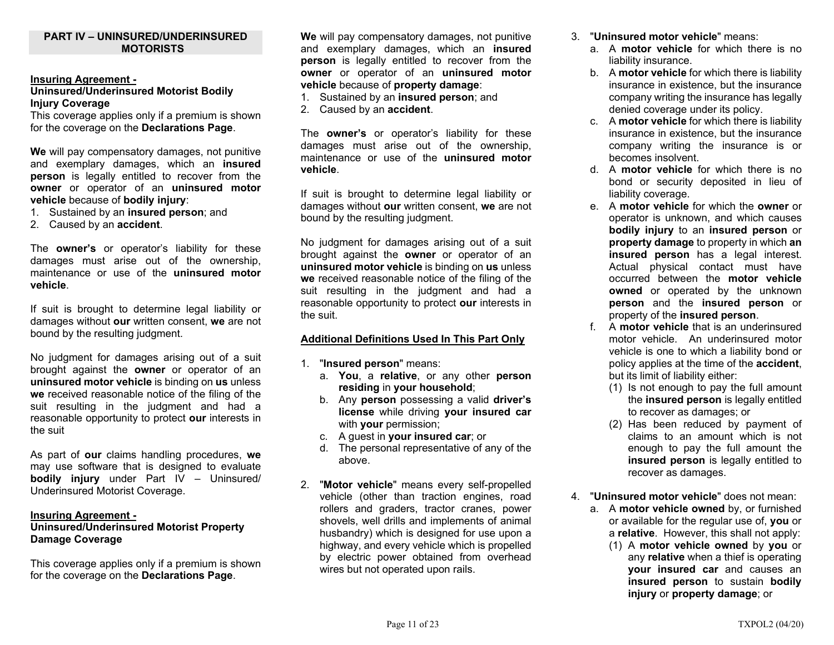### **PART IV – UNINSURED/UNDERINSURED MOTORISTS**

#### **Insuring Agreement -**

#### **Uninsured/Underinsured Motorist Bodily Injury Coverage**

This coverage applies only if a premium is shown for the coverage on the **Declarations Page**.

**We** will pay compensatory damages, not punitive and exemplary damages, which an **insured person** is legally entitled to recover from the **owner** or operator of an **uninsured motor vehicle** because of **bodily injury**:

- 1. Sustained by an **insured person**; and
- 2. Caused by an **accident**.

The **owner's** or operator's liability for these damages must arise out of the ownership, maintenance or use of the **uninsured motor vehicle**.

If suit is brought to determine legal liability or damages without **our** written consent, **we** are not bound by the resulting judgment.

No judgment for damages arising out of a suit brought against the **owner** or operator of an **uninsured motor vehicle** is binding on **us** unless **we** received reasonable notice of the filing of the suit resulting in the judgment and had a reasonable opportunity to protect **our** interests in the suit

As part of **our** claims handling procedures, **we**  may use software that is designed to evaluate **bodily injury** under Part IV – Uninsured/ Underinsured Motorist Coverage.

#### **Insuring Agreement -**

## **Uninsured/Underinsured Motorist Property Damage Coverage**

This coverage applies only if a premium is shown for the coverage on the **Declarations Page**.

**We** will pay compensatory damages, not punitive and exemplary damages, which an **insured person** is legally entitled to recover from the **owner** or operator of an **uninsured motor vehicle** because of **property damage**:

- 1. Sustained by an **insured person**; and
- 2. Caused by an **accident**.

The **owner's** or operator's liability for these damages must arise out of the ownership, maintenance or use of the **uninsured motor vehicle**.

If suit is brought to determine legal liability or damages without **our** written consent, **we** are not bound by the resulting judgment.

No judgment for damages arising out of a suit brought against the **owner** or operator of an **uninsured motor vehicle** is binding on **us** unless **we** received reasonable notice of the filing of the suit resulting in the judgment and had a reasonable opportunity to protect **our** interests in the suit.

#### **Additional Definitions Used In This Part Only**

- 1. "**Insured person**" means:
	- a. **You**, a **relative**, or any other **person residing** in **your household**;
	- b. Any **person** possessing a valid **driver's license** while driving **your insured car** with **your** permission;
	- c. A guest in **your insured car**; or
	- d. The personal representative of any of the above.
- 2. "**Motor vehicle**" means every self-propelled vehicle (other than traction engines, road rollers and graders, tractor cranes, power shovels, well drills and implements of animal husbandry) which is designed for use upon a highway, and every vehicle which is propelled by electric power obtained from overhead wires but not operated upon rails.
- 3. "**Uninsured motor vehicle**" means:
	- a. A **motor vehicle** for which there is no liability insurance.
	- b. A **motor vehicle** for which there is liability insurance in existence, but the insurance company writing the insurance has legally denied coverage under its policy.
	- c. A **motor vehicle** for which there is liability insurance in existence, but the insurance company writing the insurance is or becomes insolvent.
	- d. A **motor vehicle** for which there is no bond or security deposited in lieu of liability coverage.
	- e. A **motor vehicle** for which the **owner** or operator is unknown, and which causes **bodily injury** to an **insured person** or **property damage** to property in which **an insured person** has a legal interest. Actual physical contact must have occurred between the **motor vehicleowned** or operated by the unknown **person** and the **insured person** or property of the **insured person**.
	- f. A **motor vehicle** that is an underinsured motor vehicle. An underinsured motor vehicle is one to which a liability bond or policy applies at the time of the **accident**, but its limit of liability either:
		- (1) Is not enough to pay the full amount the **insured person** is legally entitled to recover as damages; or
		- (2) Has been reduced by payment of claims to an amount which is not enough to pay the full amount the **insured person** is legally entitled to recover as damages.
- 4. "**Uninsured motor vehicle**" does not mean:
- a. A **motor vehicle owned** by, or furnished or available for the regular use of, **you** or <sup>a</sup>**relative**. However, this shall not apply:
	- (1) A **motor vehicle owned** by **you** or any **relative** when a thief is operating **your insured car** and causes an **insured person** to sustain **bodily injury** or **property damage**; or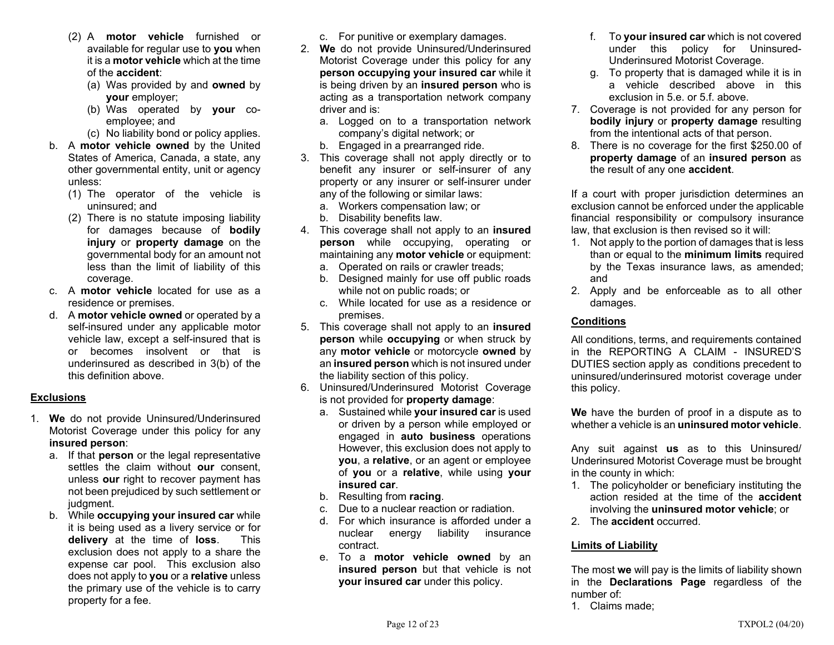- (2) A **motor vehicle** furnished or available for regular use to **you** when it is a **motor vehicle** which at the time of the **accident**:
	- (a) Was provided by and **owned** by **your** employer;
	- (b) Was operated by **your** coemployee; and
	- (c) No liability bond or policy applies.
- b. A **motor vehicle owned** by the United States of America, Canada, a state, any other governmental entity, unit or agency unless:
	- (1) The operator of the vehicle is uninsured; and
	- (2) There is no statute imposing liability for damages because of **bodily injury** or **property damage** on the governmental body for an amount not less than the limit of liability of this coverage.
- c. A **motor vehicle** located for use as a residence or premises.
- d. A **motor vehicle owned** or operated by a self-insured under any applicable motor vehicle law, except a self-insured that is or becomes insolvent or that is underinsured as described in 3(b) of the this definition above.

## **Exclusions**

- 1. **We** do not provide Uninsured/Underinsured Motorist Coverage under this policy for any **insured person**:
	- a. If that **person** or the legal representative settles the claim without **our** consent, unless **our** right to recover payment has not been prejudiced by such settlement or judgment.
	- b. While **occupying your insured car** while it is being used as a livery service or for **delivery** at the time of **loss**. This exclusion does not apply to a share the expense car pool. This exclusion also does not apply to **you** or a **relative** unless the primary use of the vehicle is to carry property for a fee.
- c. For punitive or exemplary damages.
- 2. **We** do not provide Uninsured/Underinsured Motorist Coverage under this policy for any **person occupying your insured car** while it is being driven by an **insured person** who is acting as a transportation network company driver and is:
	- a. Logged on to a transportation network company's digital network; or
	- b. Engaged in a prearranged ride.
- 3. This coverage shall not apply directly or to benefit any insurer or self-insurer of any property or any insurer or self-insurer under any of the following or similar laws:
	- a. Workers compensation law; or
	- b. Disability benefits law.
- 4. This coverage shall not apply to an **insured person** while occupying, operating or maintaining any **motor vehicle** or equipment:
	- a. Operated on rails or crawler treads;
	- b. Designed mainly for use off public roads while not on public roads; or
	- c. While located for use as a residence or premises.
- 5. This coverage shall not apply to an **insured person** while **occupying** or when struck by any **motor vehicle** or motorcycle **owned** by an **insured person** which is not insured under the liability section of this policy.
- 6. Uninsured/Underinsured Motorist Coverage is not provided for **property damage**:
	- a. Sustained while **your insured car** is used or driven by a person while employed or engaged in **auto business** operations However, this exclusion does not apply to **you**, a **relative**, or an agent or employee of **you** or a **relative**, while using **your insured car**.
	- b. Resulting from **racing**.
	- c. Due to a nuclear reaction or radiation.
	- d. For which insurance is afforded under a nuclear energy liability insurance contract.
	- e. To a **motor vehicle owned** by an **insured person** but that vehicle is not **your insured car** under this policy.
- f. To **your insured car** which is not covered under this policy for Uninsured-Underinsured Motorist Coverage.
- g. To property that is damaged while it is in a vehicle described above in this exclusion in 5.e. or 5.f. above.
- 7. Coverage is not provided for any person for **bodily injury** or **property damage** resulting from the intentional acts of that person.
- 8. There is no coverage for the first \$250.00 of **property damage** of an **insured person** as the result of any one **accident**.

If a court with proper jurisdiction determines an exclusion cannot be enforced under the applicable financial responsibility or compulsory insurance law, that exclusion is then revised so it will:

- 1. Not apply to the portion of damages that is less than or equal to the **minimum limits** required by the Texas insurance laws, as amended; and
- 2. Apply and be enforceable as to all other damages.

## **Conditions**

All conditions, terms, and requirements contained in the REPORTING A CLAIM - INSURED'S DUTIES section apply as conditions precedent to uninsured/underinsured motorist coverage under this policy.

**We** have the burden of proof in a dispute as to whether a vehicle is an **uninsured motor vehicle**.

Any suit against **us** as to this Uninsured/ Underinsured Motorist Coverage must be brought in the county in which:

- 1. The policyholder or beneficiary instituting the action resided at the time of the **accident** involving the **uninsured motor vehicle**; or
- 2. The **accident** occurred.

## **Limits of Liability**

The most **we** will pay is the limits of liability shown in the **Declarations Page** regardless of the number of:

1. Claims made;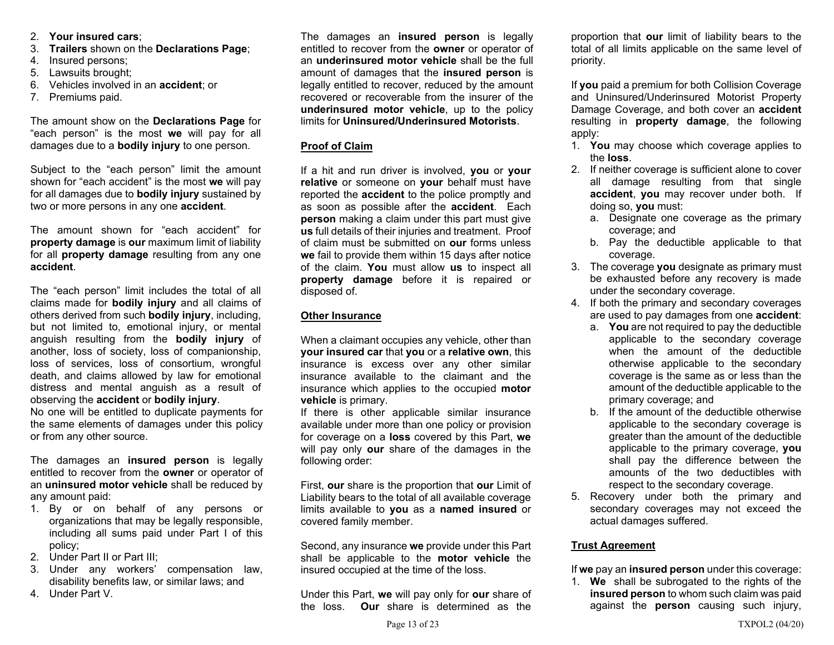- 2. **Your insured cars**;
- 3. **Trailers** shown on the **Declarations Page**;
- 4. Insured persons;
- 5. Lawsuits brought;
- 6. Vehicles involved in an **accident**; or
- 7. Premiums paid.

The amount show on the **Declarations Page** for "each person" is the most **we** will pay for all damages due to a **bodily injury** to one person.

Subject to the "each person" limit the amount shown for "each accident" is the most **we** will pay for all damages due to **bodily injury** sustained by two or more persons in any one **accident**.

The amount shown for "each accident" for **property damage** is **our** maximum limit of liability for all **property damage** resulting from any one **accident**.

The "each person" limit includes the total of all claims made for **bodily injury** and all claims of others derived from such **bodily injury**, including, but not limited to, emotional injury, or mental anguish resulting from the **bodily injury** of another, loss of society, loss of companionship, loss of services, loss of consortium, wrongful death, and claims allowed by law for emotional distress and mental anguish as a result of observing the **accident** or **bodily injury**.

No one will be entitled to duplicate payments for the same elements of damages under this policy or from any other source.

The damages an **insured person** is legally entitled to recover from the **owner** or operator of an **uninsured motor vehicle** shall be reduced by any amount paid:

- 1. By or on behalf of any persons or organizations that may be legally responsible, including all sums paid under Part I of this policy;
- 2. Under Part II or Part III;
- 3. Under any workers' compensation law, disability benefits law, or similar laws; and
- 4. Under Part V.

The damages an **insured person** is legally entitled to recover from the **owner** or operator of an **underinsured motor vehicle** shall be the full amount of damages that the **insured person** is legally entitled to recover, reduced by the amount recovered or recoverable from the insurer of the **underinsured motor vehicle**, up to the policy limits for **Uninsured/Underinsured Motorists**.

## **Proof of Claim**

If a hit and run driver is involved, **you** or **your relative** or someone on **your** behalf must have reported the **accident** to the police promptly and as soon as possible after the **accident**. Each **person** making a claim under this part must give **us** full details of their injuries and treatment. Proof of claim must be submitted on **our** forms unless **we** fail to provide them within 15 days after notice of the claim. **You** must allow **us** to inspect all **property damage** before it is repaired or disposed of.

## **Other Insurance**

When a claimant occupies any vehicle, other than **your insured car** that **you** or a **relative own**, this insurance is excess over any other similar insurance available to the claimant and the insurance which applies to the occupied **motor vehicle** is primary.

If there is other applicable similar insurance available under more than one policy or provision for coverage on a **loss** covered by this Part, **we**  will pay only **our** share of the damages in the following order:

First, **our** share is the proportion that **our** Limit of Liability bears to the total of all available coverage limits available to **you** as a **named insured** or covered family member.

Second, any insurance **we** provide under this Part shall be applicable to the **motor vehicle** the insured occupied at the time of the loss.

Under this Part, **we** will pay only for **our** share of the loss. **Our** share is determined as the

proportion that **our** limit of liability bears to the total of all limits applicable on the same level of priority.

If **you** paid a premium for both Collision Coverage and Uninsured/Underinsured Motorist Property Damage Coverage, and both cover an **accident**  resulting in **property damage**, the following apply:

- 1. **You** may choose which coverage applies to the **loss**.
- 2. If neither coverage is sufficient alone to cover all damage resulting from that single **accident**, **you** may recover under both. If doing so, **you** must:
	- a. Designate one coverage as the primary coverage; and
	- b. Pay the deductible applicable to that coverage.
- 3. The coverage **you** designate as primary must be exhausted before any recovery is made under the secondary coverage.
- 4. If both the primary and secondary coverages are used to pay damages from one **accident**:
	- a. **You** are not required to pay the deductible applicable to the secondary coverage when the amount of the deductible otherwise applicable to the secondary coverage is the same as or less than the amount of the deductible applicable to the primary coverage; and
	- b. If the amount of the deductible otherwise applicable to the secondary coverage is greater than the amount of the deductible applicable to the primary coverage, **you**  shall pay the difference between the amounts of the two deductibles with respect to the secondary coverage.
- 5. Recovery under both the primary and secondary coverages may not exceed the actual damages suffered.

## **Trust Agreement**

If **we** pay an **insured person** under this coverage:

1. **We** shall be subrogated to the rights of the **insured person** to whom such claim was paid against the **person** causing such injury,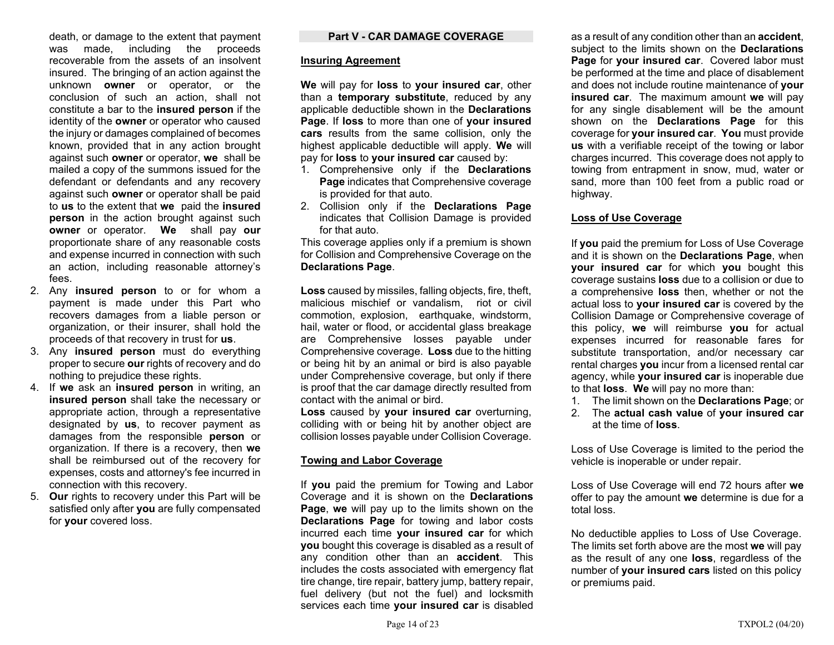death, or damage to the extent that payment was made, including the proceeds recoverable from the assets of an insolvent insured. The bringing of an action against the unknown **owner** or operator, or the conclusion of such an action, shall not constitute a bar to the **insured person** if the identity of the **owner** or operator who caused the injury or damages complained of becomes known, provided that in any action brought against such **owner** or operator, **we** shall be mailed a copy of the summons issued for the defendant or defendants and any recovery against such **owner** or operator shall be paid to **us** to the extent that **we** paid the **insured person** in the action brought against such **owner** or operator. **We** shall pay **our** proportionate share of any reasonable costs and expense incurred in connection with such an action, including reasonable attorney's fees.

- 2. Any **insured person** to or for whom a payment is made under this Part who recovers damages from a liable person or organization, or their insurer, shall hold the proceeds of that recovery in trust for **us**.
- 3. Any **insured person** must do everything proper to secure **our** rights of recovery and do nothing to prejudice these rights.
- 4. If **we** ask an **insured person** in writing, an **insured person** shall take the necessary or appropriate action, through a representative designated by **us**, to recover payment as damages from the responsible **person** or organization. If there is a recovery, then **we**  shall be reimbursed out of the recovery for expenses, costs and attorney's fee incurred in connection with this recovery.
- 5. **Our** rights to recovery under this Part will be satisfied only after **you** are fully compensated for **your** covered loss.

#### **Part V - CAR DAMAGE COVERAGE**

#### **Insuring Agreement**

**We** will pay for **loss** to **your insured car**, other than a **temporary substitute**, reduced by any applicable deductible shown in the **Declarations Page**. If **loss** to more than one of **your insured cars** results from the same collision, only the highest applicable deductible will apply. **We** will pay for **loss** to **your insured car** caused by:

- 1. Comprehensive only if the **Declarations Page** indicates that Comprehensive coverage is provided for that auto.
- 2. Collision only if the **Declarations Page** indicates that Collision Damage is provided for that auto.

This coverage applies only if a premium is shown for Collision and Comprehensive Coverage on the **Declarations Page**.

**Loss** caused by missiles, falling objects, fire, theft, malicious mischief or vandalism, riot or civil commotion, explosion, earthquake, windstorm, hail, water or flood, or accidental glass breakage are Comprehensive losses payable under Comprehensive coverage. **Loss** due to the hitting or being hit by an animal or bird is also payable under Comprehensive coverage, but only if there is proof that the car damage directly resulted from contact with the animal or bird.

**Loss** caused by **your insured car** overturning, colliding with or being hit by another object are collision losses payable under Collision Coverage.

#### **Towing and Labor Coverage**

If **you** paid the premium for Towing and Labor Coverage and it is shown on the **Declarations Page**, **we** will pay up to the limits shown on the **Declarations Page** for towing and labor costs incurred each time **your insured car** for which **you** bought this coverage is disabled as a result of any condition other than an **accident**. This includes the costs associated with emergency flat tire change, tire repair, battery jump, battery repair, fuel delivery (but not the fuel) and locksmith services each time **your insured car** is disabled

as a result of any condition other than an **accident**, subject to the limits shown on the **Declarations Page** for **your insured car**. Covered labor must be performed at the time and place of disablement and does not include routine maintenance of **your insured car**. The maximum amount **we** will pay for any single disablement will be the amount shown on the **Declarations Page** for this coverage for **your insured car**. **You** must provide **us** with a verifiable receipt of the towing or labor charges incurred. This coverage does not apply to towing from entrapment in snow, mud, water or sand, more than 100 feet from a public road or highway.

### **Loss of Use Coverage**

If **you** paid the premium for Loss of Use Coverage and it is shown on the **Declarations Page**, when **your insured car** for which **you** bought this coverage sustains **loss** due to a collision or due to a comprehensive **loss** then, whether or not the actual loss to **your insured car** is covered by the Collision Damage or Comprehensive coverage of this policy, **we** will reimburse **you** for actual expenses incurred for reasonable fares for substitute transportation, and/or necessary car rental charges **you** incur from a licensed rental car agency, while **your insured car** is inoperable due to that **loss**. **We** will pay no more than:

- 1. The limit shown on the **Declarations Page**; or
- 2. The **actual cash value** of **your insured car** at the time of **loss**.

Loss of Use Coverage is limited to the period the vehicle is inoperable or under repair.

Loss of Use Coverage will end 72 hours after **we** offer to pay the amount **we** determine is due for a total loss.

No deductible applies to Loss of Use Coverage. The limits set forth above are the most **we** will pay as the result of any one **loss**, regardless of the number of **your insured cars** listed on this policy or premiums paid.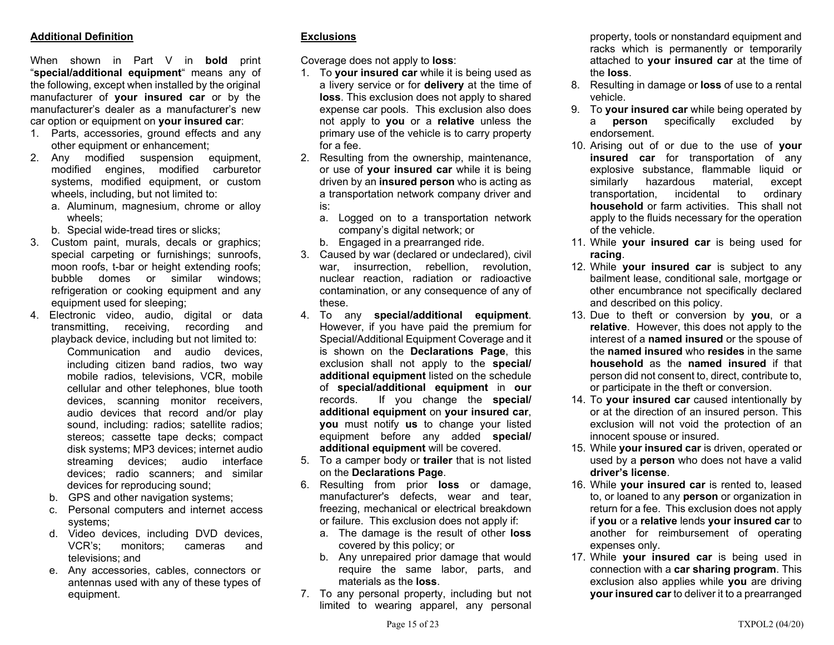## **Additional Definition**

When shown in Part V in **bold** print "**special/additional equipment**" means any of the following, except when installed by the original manufacturer of **your insured car** or by the manufacturer's dealer as a manufacturer's new car option or equipment on **your insured car**:

- 1. Parts, accessories, ground effects and any other equipment or enhancement;
- 2. Any modified suspension equipment, modified engines, modified carburetor systems, modified equipment, or custom wheels, including, but not limited to:
	- a. Aluminum, magnesium, chrome or alloy wheels;
	- b. Special wide-tread tires or slicks;
- 3. Custom paint, murals, decals or graphics; special carpeting or furnishings; sunroofs, moon roofs, t-bar or height extending roofs; bubble domes or similar windows; refrigeration or cooking equipment and any equipment used for sleeping;
- 4. Electronic video, audio, digital or data transmitting, receiving, recording and playback device, including but not limited to: Communication and audio devices, including citizen band radios, two way mobile radios, televisions, VCR, mobile cellular and other telephones, blue tooth devices, scanning monitor receivers, audio devices that record and/or play sound, including: radios; satellite radios; stereos; cassette tape decks; compact disk systems; MP3 devices; internet audio streaming devices; audio interface devices; radio scanners; and similar devices for reproducing sound;
	- b. GPS and other navigation systems;
	- c. Personal computers and internet access systems;
	- d. Video devices, including DVD devices, VCR's; monitors; cameras and televisions; and
	- e. Any accessories, cables, connectors or antennas used with any of these types of equipment.

## **Exclusions**

Coverage does not apply to **loss**:

- 1. To **your insured car** while it is being used as a livery service or for **delivery** at the time of **loss**. This exclusion does not apply to shared expense car pools. This exclusion also does not apply to **you** or a **relative** unless the primary use of the vehicle is to carry property for a fee.
- 2. Resulting from the ownership, maintenance, or use of **your insured car** while it is being driven by an **insured person** who is acting as a transportation network company driver and is:
	- a. Logged on to a transportation network company's digital network; or
	- b. Engaged in a prearranged ride.
- 3. Caused by war (declared or undeclared), civil war, insurrection, rebellion, revolution, nuclear reaction, radiation or radioactive contamination, or any consequence of any of these.
- 4. To any **special/additional equipment**. However, if you have paid the premium for Special/Additional Equipment Coverage and it is shown on the **Declarations Page**, this exclusion shall not apply to the **special/ additional equipment** listed on the schedule of **special/additional equipment** in **our** records. If you change the **special/ additional equipment** on **your insured car**, **you** must notify **us** to change your listed equipment before any added **special/ additional equipment** will be covered.
- 5. To a camper body or **trailer** that is not listed on the **Declarations Page**.
- 6. Resulting from prior **loss** or damage, manufacturer's defects, wear and tear, freezing, mechanical or electrical breakdown or failure. This exclusion does not apply if:
	- a. The damage is the result of other **loss** covered by this policy; or
	- b. Any unrepaired prior damage that would require the same labor, parts, and materials as the **loss**.
- 7. To any personal property, including but not limited to wearing apparel, any personal

property, tools or nonstandard equipment and racks which is permanently or temporarily attached to **your insured car** at the time of the **loss**.

- 8. Resulting in damage or **loss** of use to a rental vehicle.
- 9. To **your insured car** while being operated by <sup>a</sup>**person** specifically excluded by endorsement.
- 10. Arising out of or due to the use of **your insured car** for transportation of any explosive substance, flammable liquid or similarly hazardous material, except transportation, incidental to ordinary **household** or farm activities. This shall not apply to the fluids necessary for the operation of the vehicle.
- 11. While **your insured car** is being used for **racing**.
- 12. While **your insured car** is subject to any bailment lease, conditional sale, mortgage or other encumbrance not specifically declared and described on this policy.
- 13. Due to theft or conversion by **you**, or a **relative**. However, this does not apply to the interest of a **named insured** or the spouse of the **named insured** who **resides** in the same **household** as the **named insured** if that person did not consent to, direct, contribute to, or participate in the theft or conversion.
- 14. To **your insured car** caused intentionally by or at the direction of an insured person. This exclusion will not void the protection of an innocent spouse or insured.
- 15. While **your insured car** is driven, operated or used by a **person** who does not have a valid **driver's license**.
- 16. While **your insured car** is rented to, leased to, or loaned to any **person** or organization in return for a fee. This exclusion does not apply if **you** or a **relative** lends **your insured car** to another for reimbursement of operating expenses only.
- 17. While **your insured car** is being used in connection with a **car sharing program**. This exclusion also applies while **you** are driving **your insured car** to deliver it to a prearranged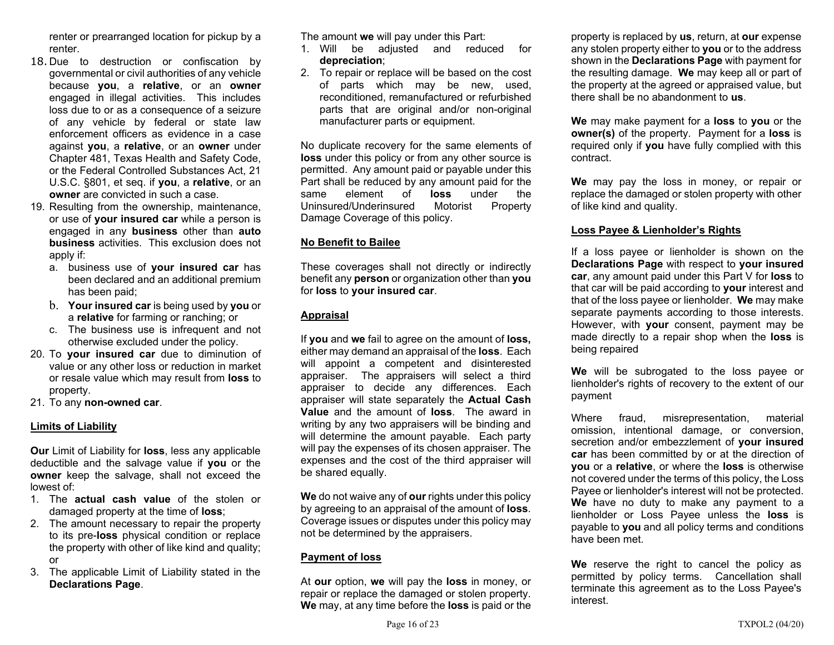renter or prearranged location for pickup by a renter.

- 18. Due to destruction or confiscation by governmental or civil authorities of any vehicle because **you**, a **relative**, or an **owner** engaged in illegal activities. This includes loss due to or as a consequence of a seizure of any vehicle by federal or state law enforcement officers as evidence in a case against **you**, a **relative**, or an **owner** under Chapter 481, Texas Health and Safety Code, or the Federal Controlled Substances Act, 21 U.S.C. §801, et seq. if **you**, a **relative**, or an **owner** are convicted in such a case.
- 19. Resulting from the ownership, maintenance, or use of **your insured car** while a person is engaged in any **business** other than **auto business** activities. This exclusion does not apply if:
	- a. business use of **your insured car** has been declared and an additional premium has been paid;
	- b. **Your insured car** is being used by **you** or <sup>a</sup>**relative** for farming or ranching; or
	- c. The business use is infrequent and not otherwise excluded under the policy.
- 20. To **your insured car** due to diminution of value or any other loss or reduction in market or resale value which may result from **loss** to property.
- 21. To any **non-owned car**.

## **Limits of Liability**

**Our** Limit of Liability for **loss**, less any applicable deductible and the salvage value if **you** or the **owner** keep the salvage, shall not exceed the lowest of:

- 1. The **actual cash value** of the stolen or damaged property at the time of **loss**;
- 2. The amount necessary to repair the property to its pre-**loss** physical condition or replace the property with other of like kind and quality; or
- 3. The applicable Limit of Liability stated in the **Declarations Page**.

The amount **we** will pay under this Part:

- 1. Will be adjusted and reduced for **depreciation**;
- 2. To repair or replace will be based on the cost of parts which may be new, used, reconditioned, remanufactured or refurbished parts that are original and/or non-original manufacturer parts or equipment.

No duplicate recovery for the same elements of **loss** under this policy or from any other source is permitted. Any amount paid or payable under this Part shall be reduced by any amount paid for the same element of **loss** under the Uninsured/Underinsured Motorist Property Damage Coverage of this policy.

## **No Benefit to Bailee**

These coverages shall not directly or indirectly benefit any **person** or organization other than **you** for **loss** to **your insured car**.

## **Appraisal**

If **you** and **we** fail to agree on the amount of **loss,**  either may demand an appraisal of the **loss**. Each will appoint a competent and disinterested appraiser. The appraisers will select a third appraiser to decide any differences. Each appraiser will state separately the **Actual Cash Value** and the amount of **loss**. The award in writing by any two appraisers will be binding and will determine the amount payable. Each party will pay the expenses of its chosen appraiser. The expenses and the cost of the third appraiser will be shared equally.

**We** do not waive any of **our** rights under this policy by agreeing to an appraisal of the amount of **loss**. Coverage issues or disputes under this policy may not be determined by the appraisers.

## **Payment of loss**

At **our** option, **we** will pay the **loss** in money, or repair or replace the damaged or stolen property. **We** may, at any time before the **loss** is paid or the

property is replaced by **us**, return, at **our** expense any stolen property either to **you** or to the address shown in the **Declarations Page** with payment for the resulting damage. **We** may keep all or part of the property at the agreed or appraised value, but there shall be no abandonment to **us**.

**We** may make payment for a **loss** to **you** or the **owner(s)** of the property. Payment for a **loss** is required only if **you** have fully complied with this contract.

**We** may pay the loss in money, or repair or replace the damaged or stolen property with other of like kind and quality.

## **Loss Payee & Lienholder's Rights**

If a loss payee or lienholder is shown on the **Declarations Page** with respect to **your insured car**, any amount paid under this Part V for **loss** to that car will be paid according to **your** interest and that of the loss payee or lienholder. **We** may make separate payments according to those interests. However, with **your** consent, payment may be made directly to a repair shop when the **loss** is being repaired

**We** will be subrogated to the loss payee or lienholder's rights of recovery to the extent of our payment

Where fraud, misrepresentation, material omission, intentional damage, or conversion, secretion and/or embezzlement of **your insured car** has been committed by or at the direction of **you** or a **relative**, or where the **loss** is otherwise not covered under the terms of this policy, the Loss Payee or lienholder's interest will not be protected. **We** have no duty to make any payment to a lienholder or Loss Payee unless the **loss** is payable to **you** and all policy terms and conditions have been met.

**We** reserve the right to cancel the policy as permitted by policy terms. Cancellation shall terminate this agreement as to the Loss Payee's interest.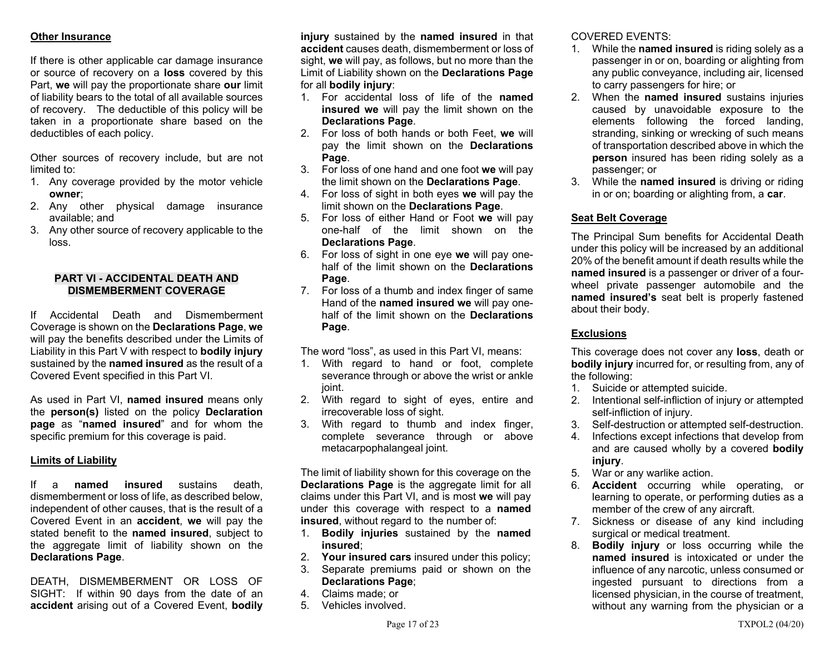## **Other Insurance**

If there is other applicable car damage insurance or source of recovery on a **loss** covered by this Part, **we** will pay the proportionate share **our** limit of liability bears to the total of all available sources of recovery. The deductible of this policy will be taken in a proportionate share based on the deductibles of each policy.

Other sources of recovery include, but are not limited to:

- 1. Any coverage provided by the motor vehicle **owner**;
- 2. Any other physical damage insurance available; and
- 3. Any other source of recovery applicable to the loss.

#### **PART VI - ACCIDENTAL DEATH AND DISMEMBERMENT COVERAGE**

If Accidental Death and Dismemberment Coverage is shown on the **Declarations Page**, **we**  will pay the benefits described under the Limits of Liability in this Part V with respect to **bodily injury**  sustained by the **named insured** as the result of a Covered Event specified in this Part VI.

As used in Part VI, **named insured** means only the **person(s)** listed on the policy **Declaration page** as "**named insured**" and for whom the specific premium for this coverage is paid.

## **Limits of Liability**

If a **named insured** sustains death, dismemberment or loss of life, as described below, independent of other causes, that is the result of a Covered Event in an **accident**, **we** will pay the stated benefit to the **named insured**, subject to the aggregate limit of liability shown on the **Declarations Page**.

DEATH, DISMEMBERMENT OR LOSS OF SIGHT: If within 90 days from the date of an **accident** arising out of a Covered Event, **bodily** 

**injury** sustained by the **named insured** in that **accident** causes death, dismemberment or loss of sight, **we** will pay, as follows, but no more than the Limit of Liability shown on the **Declarations Page**  for all **bodily injury**:

- 1. For accidental loss of life of the **named insured we** will pay the limit shown on the **Declarations Page**.
- 2. For loss of both hands or both Feet, **we** will pay the limit shown on the **Declarations Page**.
- 3. For loss of one hand and one foot **we** will pay the limit shown on the **Declarations Page**.
- 4. For loss of sight in both eyes **we** will pay the limit shown on the **Declarations Page**.
- 5. For loss of either Hand or Foot **we** will pay one-half of the limit shown on the **Declarations Page**.
- 6. For loss of sight in one eye **we** will pay onehalf of the limit shown on the **Declarations Page**.
- 7. For loss of a thumb and index finger of same Hand of the **named insured we** will pay onehalf of the limit shown on the **Declarations Page**.

The word "loss", as used in this Part VI, means:

- 1. With regard to hand or foot, complete severance through or above the wrist or ankle joint.
- 2. With regard to sight of eyes, entire and irrecoverable loss of sight.
- 3. With regard to thumb and index finger, complete severance through or above metacarpophalangeal joint.

The limit of liability shown for this coverage on the **Declarations Page** is the aggregate limit for all claims under this Part VI, and is most **we** will pay under this coverage with respect to a **named insured**, without regard to the number of:

- 1. **Bodily injuries** sustained by the **named insured**;
- 2. **Your insured cars** insured under this policy;
- 3. Separate premiums paid or shown on the **Declarations Page**;
- 4. Claims made; or
- 5. Vehicles involved.

COVERED EVENTS:

- 1. While the **named insured** is riding solely as a passenger in or on, boarding or alighting from any public conveyance, including air, licensed to carry passengers for hire; or
- 2. When the **named insured** sustains injuries caused by unavoidable exposure to the elements following the forced landing, stranding, sinking or wrecking of such means of transportation described above in which the **person** insured has been riding solely as a passenger; or
- 3. While the **named insured** is driving or riding in or on; boarding or alighting from, a **car**.

## **Seat Belt Coverage**

The Principal Sum benefits for Accidental Death under this policy will be increased by an additional 20% of the benefit amount if death results while the **named insured** is a passenger or driver of a fourwheel private passenger automobile and the **named insured's** seat belt is properly fastened about their body.

## **Exclusions**

This coverage does not cover any **loss**, death or **bodily injury** incurred for, or resulting from, any of the following:

- 1. Suicide or attempted suicide.
- 2. Intentional self-infliction of injury or attempted self-infliction of injury.
- 3. Self-destruction or attempted self-destruction.
- 4. Infections except infections that develop from and are caused wholly by a covered **bodily injury**.
- 5. War or any warlike action.
- 6. **Accident** occurring while operating, or learning to operate, or performing duties as a member of the crew of any aircraft.
- 7. Sickness or disease of any kind including surgical or medical treatment.
- 8. **Bodily injury** or loss occurring while the **named insured** is intoxicated or under the influence of any narcotic, unless consumed or ingested pursuant to directions from a licensed physician, in the course of treatment, without any warning from the physician or a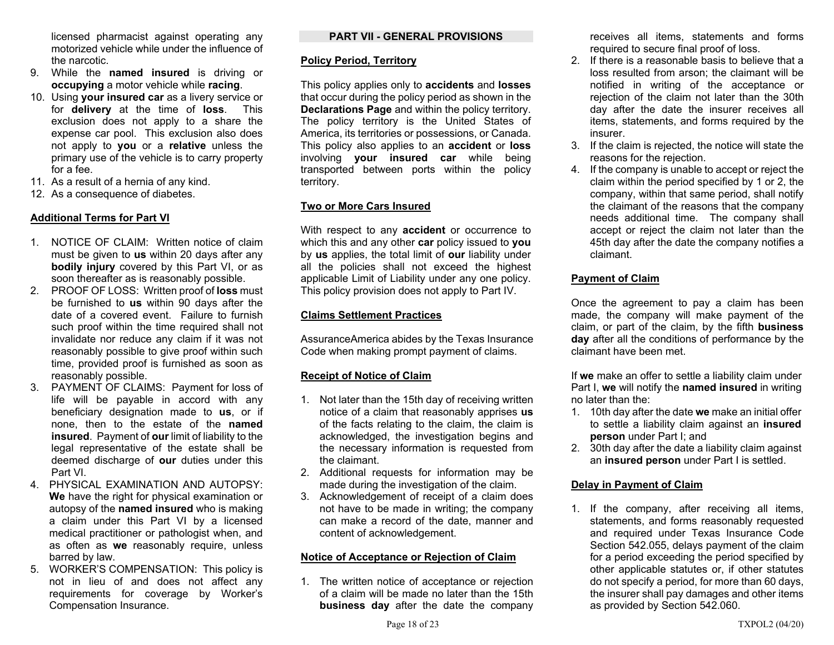licensed pharmacist against operating any motorized vehicle while under the influence of the narcotic.

- 9. While the **named insured** is driving or **occupying** a motor vehicle while **racing**.
- 10. Using **your insured car** as a livery service or for **delivery** at the time of **loss**. This exclusion does not apply to a share the expense car pool. This exclusion also does not apply to **you** or a **relative** unless the primary use of the vehicle is to carry property for a fee.
- 11. As a result of a hernia of any kind.
- 12. As a consequence of diabetes.

## **Additional Terms for Part VI**

- 1. NOTICE OF CLAIM: Written notice of claim must be given to **us** within 20 days after any **bodily injury** covered by this Part VI, or as soon thereafter as is reasonably possible.
- 2. PROOF OF LOSS: Written proof of **loss** must be furnished to **us** within 90 days after the date of a covered event. Failure to furnish such proof within the time required shall not invalidate nor reduce any claim if it was not reasonably possible to give proof within such time, provided proof is furnished as soon as reasonably possible.
- 3. PAYMENT OF CLAIMS: Payment for loss of life will be payable in accord with any beneficiary designation made to **us**, or if none, then to the estate of the **named insured**. Payment of **our** limit of liability to the legal representative of the estate shall be deemed discharge of **our** duties under this Part VI.
- 4. PHYSICAL EXAMINATION AND AUTOPSY: **We** have the right for physical examination or autopsy of the **named insured** who is making a claim under this Part VI by a licensed medical practitioner or pathologist when, and as often as **we** reasonably require, unless barred by law.
- 5. WORKER'S COMPENSATION: This policy is not in lieu of and does not affect any requirements for coverage by Worker's Compensation Insurance.

## **PART VII - GENERAL PROVISIONS**

### **Policy Period, Territory**

This policy applies only to **accidents** and **losses** that occur during the policy period as shown in the **Declarations Page** and within the policy territory. The policy territory is the United States of America, its territories or possessions, or Canada. This policy also applies to an **accident** or **loss** involving **your insured car** while being transported between ports within the policy territory.

## **Two or More Cars Insured**

With respect to any **accident** or occurrence to which this and any other **car** policy issued to **you** by **us** applies, the total limit of **our** liability under all the policies shall not exceed the highest applicable Limit of Liability under any one policy. This policy provision does not apply to Part IV.

## **Claims Settlement Practices**

AssuranceAmerica abides by the Texas Insurance Code when making prompt payment of claims.

## **Receipt of Notice of Claim**

- 1. Not later than the 15th day of receiving written notice of a claim that reasonably apprises **us** of the facts relating to the claim, the claim is acknowledged, the investigation begins and the necessary information is requested from the claimant.
- 2. Additional requests for information may be made during the investigation of the claim.
- 3. Acknowledgement of receipt of a claim does not have to be made in writing; the company can make a record of the date, manner and content of acknowledgement.

## **Notice of Acceptance or Rejection of Claim**

1. The written notice of acceptance or rejection of a claim will be made no later than the 15th **business day** after the date the company receives all items, statements and forms required to secure final proof of loss.

- 2. If there is a reasonable basis to believe that a loss resulted from arson; the claimant will be notified in writing of the acceptance or rejection of the claim not later than the 30th day after the date the insurer receives all items, statements, and forms required by the insurer.
- 3. If the claim is rejected, the notice will state the reasons for the rejection.
- 4. If the company is unable to accept or reject the claim within the period specified by 1 or 2, the company, within that same period, shall notify the claimant of the reasons that the company needs additional time. The company shall accept or reject the claim not later than the 45th day after the date the company notifies a claimant.

## **Payment of Claim**

Once the agreement to pay a claim has been made, the company will make payment of the claim, or part of the claim, by the fifth **business day** after all the conditions of performance by the claimant have been met.

If **we** make an offer to settle a liability claim under Part I, **we** will notify the **named insured** in writing no later than the:

- 1. 10th day after the date **we** make an initial offer to settle a liability claim against an **insured person** under Part I; and
- 2. 30th day after the date a liability claim against an **insured person** under Part I is settled.

## **Delay in Payment of Claim**

1. If the company, after receiving all items, statements, and forms reasonably requested and required under Texas Insurance Code Section 542.055, delays payment of the claim for a period exceeding the period specified by other applicable statutes or, if other statutes do not specify a period, for more than 60 days, the insurer shall pay damages and other items as provided by Section 542.060.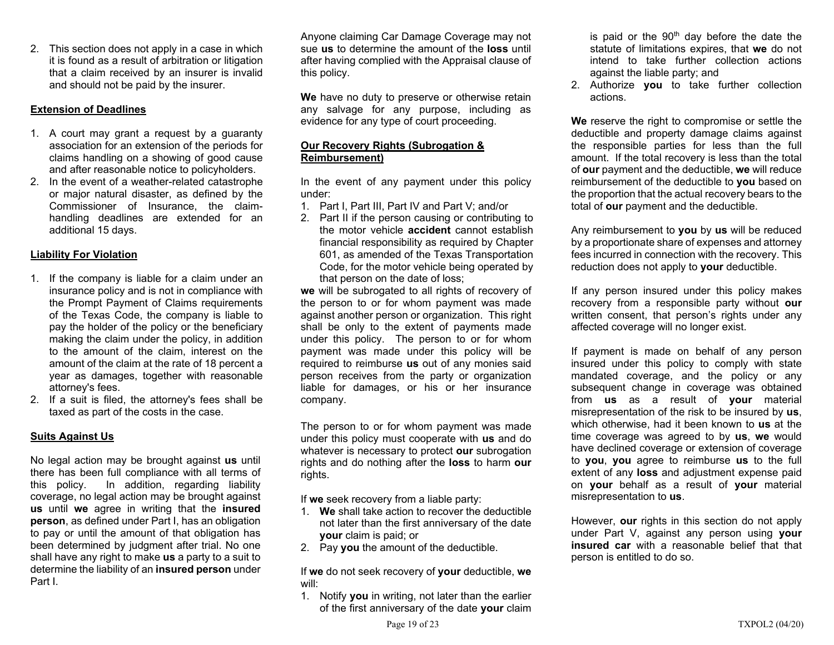2. This section does not apply in a case in which it is found as a result of arbitration or litigation that a claim received by an insurer is invalid and should not be paid by the insurer.

## **Extension of Deadlines**

- 1. A court may grant a request by a guaranty association for an extension of the periods for claims handling on a showing of good cause and after reasonable notice to policyholders.
- 2. In the event of a weather-related catastrophe or major natural disaster, as defined by the Commissioner of Insurance, the claimhandling deadlines are extended for an additional 15 days.

## **Liability For Violation**

- 1. If the company is liable for a claim under an insurance policy and is not in compliance with the Prompt Payment of Claims requirements of the Texas Code, the company is liable to pay the holder of the policy or the beneficiary making the claim under the policy, in addition to the amount of the claim, interest on the amount of the claim at the rate of 18 percent a year as damages, together with reasonable attorney's fees.
- 2. If a suit is filed, the attorney's fees shall be taxed as part of the costs in the case.

## **Suits Against Us**

No legal action may be brought against **us** until there has been full compliance with all terms of this policy. In addition, regarding liability coverage, no legal action may be brought against **us** until **we** agree in writing that the **insured person**, as defined under Part I, has an obligation to pay or until the amount of that obligation has been determined by judgment after trial. No one shall have any right to make **us** a party to a suit to determine the liability of an **insured person** under Part I.

Anyone claiming Car Damage Coverage may not sue **us** to determine the amount of the **loss** until after having complied with the Appraisal clause of this policy.

**We** have no duty to preserve or otherwise retain any salvage for any purpose, including as evidence for any type of court proceeding.

## **Our Recovery Rights (Subrogation & Reimbursement)**

In the event of any payment under this policy under:

- 1. Part I, Part III, Part IV and Part V; and/or
- 2. Part II if the person causing or contributing to the motor vehicle **accident** cannot establish financial responsibility as required by Chapter 601, as amended of the Texas Transportation Code, for the motor vehicle being operated by that person on the date of loss;

**we** will be subrogated to all rights of recovery of the person to or for whom payment was made against another person or organization. This right shall be only to the extent of payments made under this policy. The person to or for whom payment was made under this policy will be required to reimburse **us** out of any monies said person receives from the party or organization liable for damages, or his or her insurance company.

The person to or for whom payment was made under this policy must cooperate with **us** and do whatever is necessary to protect **our** subrogation rights and do nothing after the **loss** to harm **our** rights.

If **we** seek recovery from a liable party:

- 1. **We** shall take action to recover the deductible not later than the first anniversary of the date **your** claim is paid; or
- 2. Pay **you** the amount of the deductible.

If **we** do not seek recovery of **your** deductible, **we** will:

1. Notify **you** in writing, not later than the earlier of the first anniversary of the date **your** claim is paid or the  $90<sup>th</sup>$  day before the date the statute of limitations expires, that **we** do not intend to take further collection actions against the liable party; and

2. Authorize **you** to take further collection actions.

**We** reserve the right to compromise or settle the deductible and property damage claims against the responsible parties for less than the full amount. If the total recovery is less than the total of **our** payment and the deductible, **we** will reduce reimbursement of the deductible to **you** based on the proportion that the actual recovery bears to the total of **our** payment and the deductible.

Any reimbursement to **you** by **us** will be reduced by a proportionate share of expenses and attorney fees incurred in connection with the recovery. This reduction does not apply to **your** deductible.

If any person insured under this policy makes recovery from a responsible party without **our** written consent, that person's rights under any affected coverage will no longer exist.

If payment is made on behalf of any person insured under this policy to comply with state mandated coverage, and the policy or any subsequent change in coverage was obtained from **us** as a result of **your** material misrepresentation of the risk to be insured by **us**, which otherwise, had it been known to **us** at the time coverage was agreed to by **us**, **we** would have declined coverage or extension of coverage to **you**, **you** agree to reimburse **us** to the full extent of any **loss** and adjustment expense paid on **your** behalf as a result of **your** material misrepresentation to **us**.

However, **our** rights in this section do not apply under Part V, against any person using **your insured car** with a reasonable belief that that person is entitled to do so.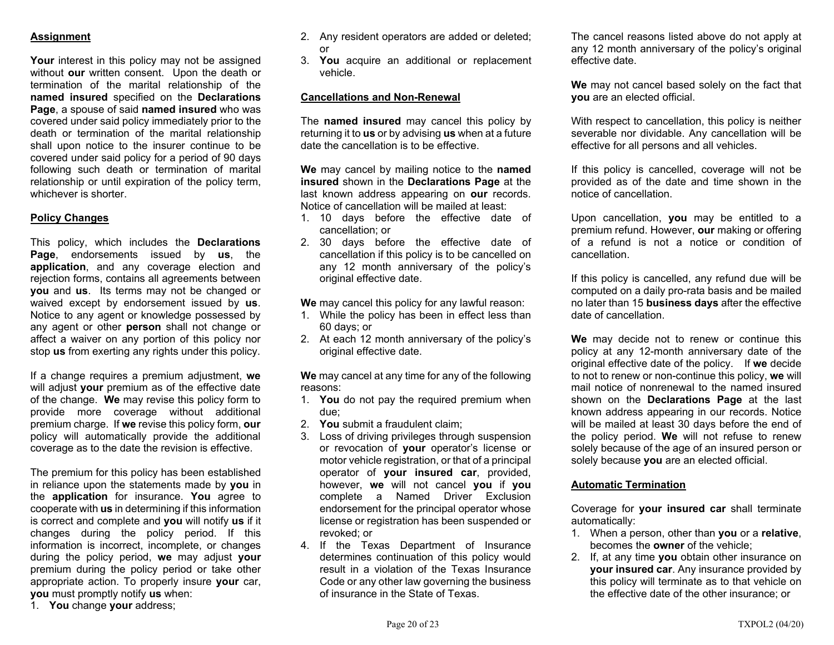## **Assignment**

**Your** interest in this policy may not be assigned without **our** written consent. Upon the death or termination of the marital relationship of the **named insured** specified on the **Declarations Page**, a spouse of said **named insured** who was covered under said policy immediately prior to the death or termination of the marital relationship shall upon notice to the insurer continue to be covered under said policy for a period of 90 days following such death or termination of marital relationship or until expiration of the policy term, whichever is shorter.

## **Policy Changes**

This policy, which includes the **Declarations Page**, endorsements issued by **us**, the **application**, and any coverage election and rejection forms, contains all agreements between **you** and **us**. Its terms may not be changed or waived except by endorsement issued by **us**. Notice to any agent or knowledge possessed by any agent or other **person** shall not change or affect a waiver on any portion of this policy nor stop **us** from exerting any rights under this policy.

If a change requires a premium adjustment, **we**  will adjust **your** premium as of the effective date of the change. **We** may revise this policy form to provide more coverage without additional premium charge. If **we** revise this policy form, **our** policy will automatically provide the additional coverage as to the date the revision is effective.

The premium for this policy has been established in reliance upon the statements made by **you** in the **application** for insurance. **You** agree to cooperate with **us** in determining if this information is correct and complete and **you** will notify **us** if it changes during the policy period. If this information is incorrect, incomplete, or changes during the policy period, **we** may adjust **your** premium during the policy period or take other appropriate action. To properly insure **your** car, **you** must promptly notify **us** when:

1. **You** change **your** address;

- 2. Any resident operators are added or deleted; or
- 3. **You** acquire an additional or replacement vehicle.

## **Cancellations and Non-Renewal**

The **named insured** may cancel this policy by returning it to **us** or by advising **us** when at a future date the cancellation is to be effective.

**We** may cancel by mailing notice to the **named insured** shown in the **Declarations Page** at the last known address appearing on **our** records. Notice of cancellation will be mailed at least:

- 1. 10 days before the effective date of cancellation; or
- 2. 30 days before the effective date of cancellation if this policy is to be cancelled on any 12 month anniversary of the policy's original effective date.

**We** may cancel this policy for any lawful reason:

- 1. While the policy has been in effect less than 60 days; or
- 2. At each 12 month anniversary of the policy's original effective date.

**We** may cancel at any time for any of the following reasons:

- 1. **You** do not pay the required premium when due;
- 2. **You** submit a fraudulent claim;
- 3. Loss of driving privileges through suspension or revocation of **your** operator's license or motor vehicle registration, or that of a principal operator of **your insured car**, provided, however, **we** will not cancel **you** if **you** complete a Named Driver Exclusion endorsement for the principal operator whose license or registration has been suspended or revoked; or
- 4. If the Texas Department of Insurance determines continuation of this policy would result in a violation of the Texas Insurance Code or any other law governing the business of insurance in the State of Texas.

The cancel reasons listed above do not apply at any 12 month anniversary of the policy's original effective date.

**We** may not cancel based solely on the fact that **you** are an elected official.

With respect to cancellation, this policy is neither severable nor dividable. Any cancellation will be effective for all persons and all vehicles.

If this policy is cancelled, coverage will not be provided as of the date and time shown in the notice of cancellation.

Upon cancellation, **you** may be entitled to a premium refund. However, **our** making or offering of a refund is not a notice or condition of cancellation.

If this policy is cancelled, any refund due will be computed on a daily pro-rata basis and be mailed no later than 15 **business days** after the effective date of cancellation.

**We** may decide not to renew or continue this policy at any 12-month anniversary date of the original effective date of the policy. If **we** decide to not to renew or non-continue this policy, **we** will mail notice of nonrenewal to the named insured shown on the **Declarations Page** at the last known address appearing in our records. Notice will be mailed at least 30 days before the end of the policy period. **We** will not refuse to renew solely because of the age of an insured person or solely because **you** are an elected official.

#### **Automatic Termination**

Coverage for **your insured car** shall terminate automatically:

- 1. When a person, other than **you** or a **relative**, becomes the **owner** of the vehicle;
- 2. If, at any time **you** obtain other insurance on **your insured car**. Any insurance provided by this policy will terminate as to that vehicle on the effective date of the other insurance; or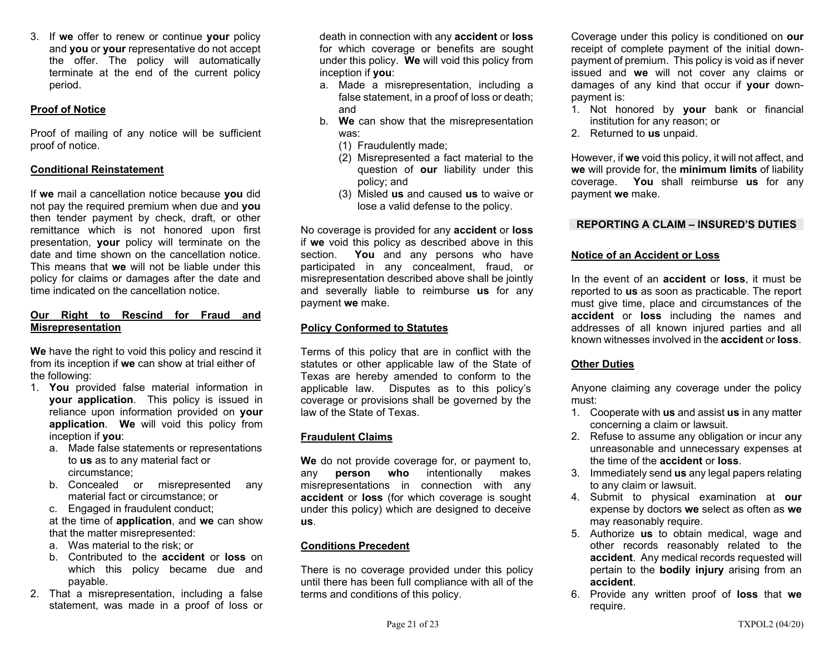3. If **we** offer to renew or continue **your** policy and **you** or **your** representative do not accept the offer. The policy will automatically terminate at the end of the current policy period.

## **Proof of Notice**

Proof of mailing of any notice will be sufficient proof of notice.

### **Conditional Reinstatement**

If **we** mail a cancellation notice because **you** did not pay the required premium when due and **you** then tender payment by check, draft, or other remittance which is not honored upon first presentation, **your** policy will terminate on the date and time shown on the cancellation notice. This means that **we** will not be liable under this policy for claims or damages after the date and time indicated on the cancellation notice.

### **Our Right to Rescind for Fraud and Misrepresentation**

**We** have the right to void this policy and rescind it from its inception if **we** can show at trial either of the following:

- 1. **You** provided false material information in **your application**. This policy is issued in reliance upon information provided on **your application**. **We** will void this policy from inception if **you**:
	- a. Made false statements or representations to **us** as to any material fact or circumstance;
	- b. Concealed or misrepresented any material fact or circumstance; or
	- c. Engaged in fraudulent conduct;
	- at the time of **application**, and **we** can show that the matter misrepresented:
	- a. Was material to the risk; or
	- b. Contributed to the **accident** or **loss** on which this policy became due and payable.
- 2. That a misrepresentation, including a false statement, was made in a proof of loss or

death in connection with any **accident** or **loss** for which coverage or benefits are sought under this policy. **We** will void this policy from inception if **you**:

- a. Made a misrepresentation, including a false statement, in a proof of loss or death; and
- b. **We** can show that the misrepresentation was:
	- (1) Fraudulently made;
	- (2) Misrepresented a fact material to the question of **our** liability under this policy; and
	- (3) Misled **us** and caused **us** to waive or lose a valid defense to the policy.

No coverage is provided for any **accident** or **loss** if **we** void this policy as described above in this section. **You** and any persons who have participated in any concealment, fraud, or misrepresentation described above shall be jointly and severally liable to reimburse **us** for any payment **we** make.

## **Policy Conformed to Statutes**

Terms of this policy that are in conflict with the statutes or other applicable law of the State of Texas are hereby amended to conform to the applicable law. Disputes as to this policy's coverage or provisions shall be governed by the law of the State of Texas.

## **Fraudulent Claims**

**We** do not provide coverage for, or payment to, any **person who** intentionally makes misrepresentations in connection with any **accident** or **loss** (for which coverage is sought under this policy) which are designed to deceive **us**.

## **Conditions Precedent**

There is no coverage provided under this policy until there has been full compliance with all of the terms and conditions of this policy.

Coverage under this policy is conditioned on **our** receipt of complete payment of the initial downpayment of premium. This policy is void as if never issued and **we** will not cover any claims or damages of any kind that occur if **your** downpayment is:

- 1. Not honored by **your** bank or financial institution for any reason; or
- 2. Returned to **us** unpaid.

However, if **we** void this policy, it will not affect, and **we** will provide for, the **minimum limits** of liability coverage. **You** shall reimburse **us** for any payment **we** make.

## **REPORTING A CLAIM – INSURED'S DUTIES**

## **Notice of an Accident or Loss**

In the event of an **accident** or **loss**, it must be reported to **us** as soon as practicable. The report must give time, place and circumstances of the **accident** or **loss** including the names and addresses of all known injured parties and all known witnesses involved in the **accident** or **loss**.

## **Other Duties**

Anyone claiming any coverage under the policy must:

- 1. Cooperate with **us** and assist **us** in any matter concerning a claim or lawsuit.
- 2. Refuse to assume any obligation or incur any unreasonable and unnecessary expenses at the time of the **accident** or **loss**.
- 3. Immediately send **us** any legal papers relating to any claim or lawsuit.
- 4. Submit to physical examination at **our** expense by doctors **we** select as often as **we**  may reasonably require.
- 5. Authorize **us** to obtain medical, wage and other records reasonably related to the **accident**. Any medical records requested will pertain to the **bodily injury** arising from an **accident**.
- 6. Provide any written proof of **loss** that **we** require.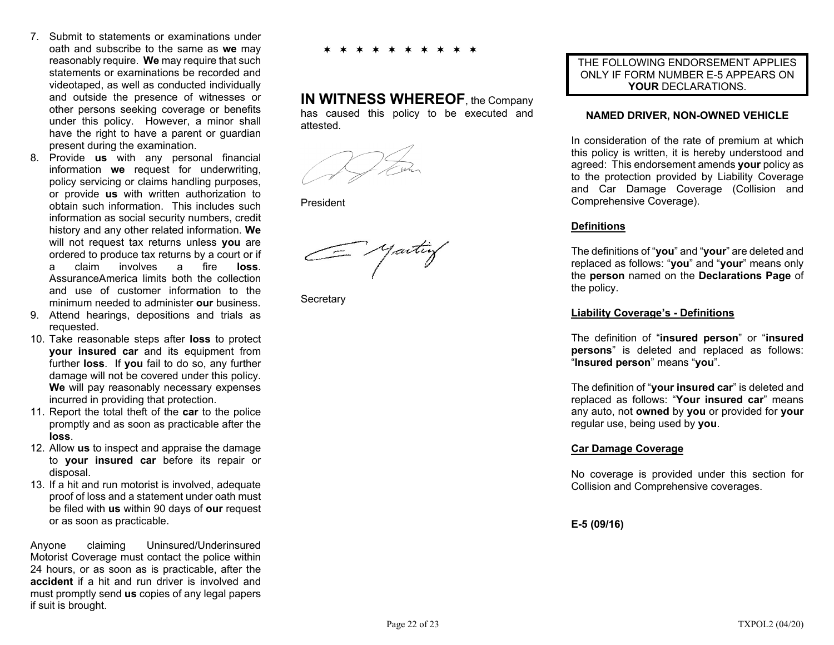- 7. Submit to statements or examinations under oath and subscribe to the same as **we** may reasonably require. **We** may require that such statements or examinations be recorded and videotaped, as well as conducted individually and outside the presence of witnesses or other persons seeking coverage or benefits under this policy. However, a minor shall have the right to have a parent or guardian present during the examination.
- 8. Provide **us** with any personal financial information **we** request for underwriting, policy servicing or claims handling purposes, or provide **us** with written authorization to obtain such information. This includes such information as social security numbers, credit history and any other related information. **We** will not request tax returns unless **you** are ordered to produce tax returns by a court or if a claim involves a fire **loss**. AssuranceAmerica limits both the collection and use of customer information to the minimum needed to administer **our** business.
- 9. Attend hearings, depositions and trials as requested.
- 10. Take reasonable steps after **loss** to protect **your insured car** and its equipment from further **loss**. If **you** fail to do so, any further damage will not be covered under this policy. **We** will pay reasonably necessary expenses incurred in providing that protection.
- 11. Report the total theft of the **car** to the police promptly and as soon as practicable after the **loss**.
- 12. Allow **us** to inspect and appraise the damage to **your insured car** before its repair or disposal.
- 13. If a hit and run motorist is involved, adequate proof of loss and a statement under oath must be filed with **us** within 90 days of **our** request or as soon as practicable.

Anyone claiming Uninsured/Underinsured Motorist Coverage must contact the police within 24 hours, or as soon as is practicable, after the **accident** if a hit and run driver is involved and must promptly send **us** copies of any legal papers if suit is brought.

∗ ∗ ∗ ∗ ∗ ∗ ∗ ∗ ∗  $\bigstar$ 

**IN WITNESS WHEREOF**, the Company has caused this policy to be executed and attested.

President

- yaitiy

**Secretary** 

THE FOLLOWING ENDORSEMENT APPLIES ONLY IF FORM NUMBER E-5 APPEARS ON **YOUR** DECLARATIONS.

### **NAMED DRIVER, NON-OWNED VEHICLE**

In consideration of the rate of premium at which this policy is written, it is hereby understood and agreed: This endorsement amends **your** policy as to the protection provided by Liability Coverage and Car Damage Coverage (Collision and Comprehensive Coverage).

## **Definitions**

The definitions of "**you**" and "**your**" are deleted and replaced as follows: "**you**" and "**your**" means only the **person** named on the **Declarations Page** of the policy.

### **Liability Coverage's - Definitions**

The definition of "**insured person**" or "**insured persons**" is deleted and replaced as follows: "**Insured person**" means "**you**".

The definition of "**your insured car**" is deleted and replaced as follows: "**Your insured car**" means any auto, not **owned** by **you** or provided for **your** regular use, being used by **you**.

## **Car Damage Coverage**

No coverage is provided under this section for Collision and Comprehensive coverages.

**E-5 (09/16)**